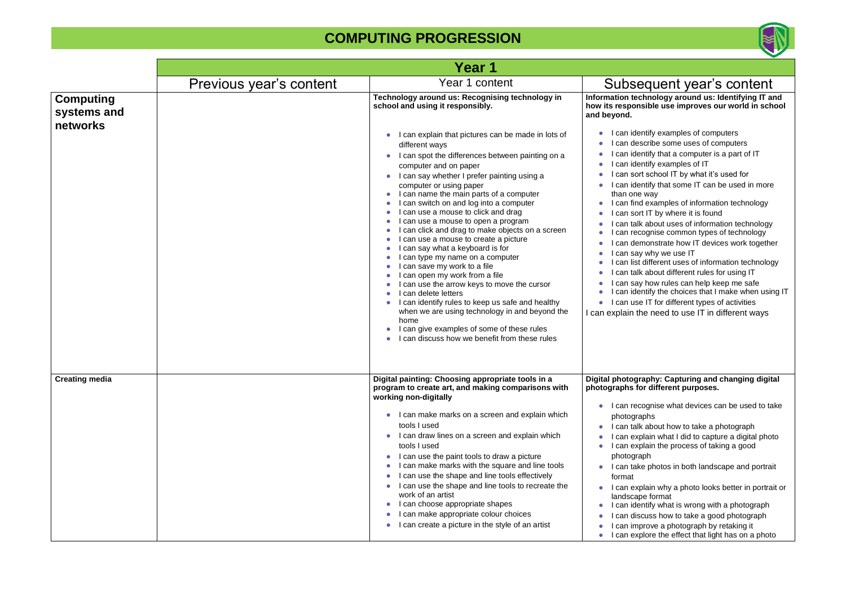#### **Information technology around us: Identifying IT and how its responsible use improves our world in school**  entify examples of computers scribe some uses of computers entify that a computer is a part of IT entify examples of IT rt school IT by what it's used for entify that some IT can be used in more e way d examples of information technology It IT by where it is found k about uses of information technology cognise common types of technology monstrate how IT devices work together  $y$  why we use IT

- different uses of information technology k about different rules for using IT
- y how rules can help keep me safe entify the choices that I make when using IT
- e IT for different types of activities
- he need to use IT in different ways

#### **Praphy: Capturing and changing digital photographs** for different purposes.

- cognise what devices can be used to take aphs
- k about how to take a photograph
- plain what I did to capture a digital photo plain the process of taking a good
- aph
- e photos in both landscape and portrait
- plain why a photo looks better in portrait or pe format
- entify what is wrong with a photograph scuss how to take a good photograph
- prove a photograph by retaking it plore the effect that light has on a photo

|                                             |                         | Year 1                                                                                                                                                                                                                                                                                                                                                                                                                                                                                                                                                                                                                                                                                                                                                                                                                                                                                                                                                                                          |                                                                                                                                                                                                                                                                                                                                                                                                                                                                                                                                                                                                                                                                                                                                                                                                                                                                                                                                                                 |
|---------------------------------------------|-------------------------|-------------------------------------------------------------------------------------------------------------------------------------------------------------------------------------------------------------------------------------------------------------------------------------------------------------------------------------------------------------------------------------------------------------------------------------------------------------------------------------------------------------------------------------------------------------------------------------------------------------------------------------------------------------------------------------------------------------------------------------------------------------------------------------------------------------------------------------------------------------------------------------------------------------------------------------------------------------------------------------------------|-----------------------------------------------------------------------------------------------------------------------------------------------------------------------------------------------------------------------------------------------------------------------------------------------------------------------------------------------------------------------------------------------------------------------------------------------------------------------------------------------------------------------------------------------------------------------------------------------------------------------------------------------------------------------------------------------------------------------------------------------------------------------------------------------------------------------------------------------------------------------------------------------------------------------------------------------------------------|
|                                             | Previous year's content | Year 1 content                                                                                                                                                                                                                                                                                                                                                                                                                                                                                                                                                                                                                                                                                                                                                                                                                                                                                                                                                                                  | Subsequent year's content                                                                                                                                                                                                                                                                                                                                                                                                                                                                                                                                                                                                                                                                                                                                                                                                                                                                                                                                       |
| <b>Computing</b><br>systems and<br>networks |                         | Technology around us: Recognising technology in<br>school and using it responsibly.<br>I can explain that pictures can be made in lots of<br>different ways<br>I can spot the differences between painting on a<br>computer and on paper<br>I can say whether I prefer painting using a<br>computer or using paper<br>I can name the main parts of a computer<br>I can switch on and log into a computer<br>can use a mouse to click and drag<br>can use a mouse to open a program<br>can click and drag to make objects on a screen<br>I can use a mouse to create a picture<br>can say what a keyboard is for<br>can type my name on a computer<br>can save my work to a file<br>can open my work from a file<br>I can use the arrow keys to move the cursor<br>I can delete letters<br>I can identify rules to keep us safe and healthy<br>when we are using technology in and beyond the<br>home<br>can give examples of some of these rules<br>can discuss how we benefit from these rules | Information technology around us: Identifying IT a<br>how its responsible use improves our world in sch<br>and beyond.<br>I can identify examples of computers<br>can describe some uses of computers<br>can identify that a computer is a part of IT<br>can identify examples of IT<br>can sort school IT by what it's used for<br>can identify that some IT can be used in more<br>than one way<br>can find examples of information technology<br>can sort IT by where it is found<br>can talk about uses of information technology<br>can recognise common types of technology<br>can demonstrate how IT devices work togeth<br>can say why we use IT<br>can list different uses of information technolog<br>can talk about different rules for using IT<br>can say how rules can help keep me safe<br>can identify the choices that I make when usi<br>I can use IT for different types of activities<br>I can explain the need to use IT in different ways |
| <b>Creating media</b>                       |                         | Digital painting: Choosing appropriate tools in a<br>program to create art, and making comparisons with<br>working non-digitally<br>I can make marks on a screen and explain which<br>tools I used<br>I can draw lines on a screen and explain which<br>tools I used<br>I can use the paint tools to draw a picture<br>I can make marks with the square and line tools<br>I can use the shape and line tools effectively<br>I can use the shape and line tools to recreate the<br>work of an artist<br>I can choose appropriate shapes<br>I can make appropriate colour choices<br>I can create a picture in the style of an artist                                                                                                                                                                                                                                                                                                                                                             | Digital photography: Capturing and changing digit<br>photographs for different purposes.<br>I can recognise what devices can be used to ta<br>photographs<br>I can talk about how to take a photograph<br>can explain what I did to capture a digital pho<br>I can explain the process of taking a good<br>photograph<br>can take photos in both landscape and portra<br>format<br>I can explain why a photo looks better in portra<br>landscape format<br>can identify what is wrong with a photograph<br>can discuss how to take a good photograph<br>can improve a photograph by retaking it<br>I can explore the effect that light has on a phot                                                                                                                                                                                                                                                                                                            |

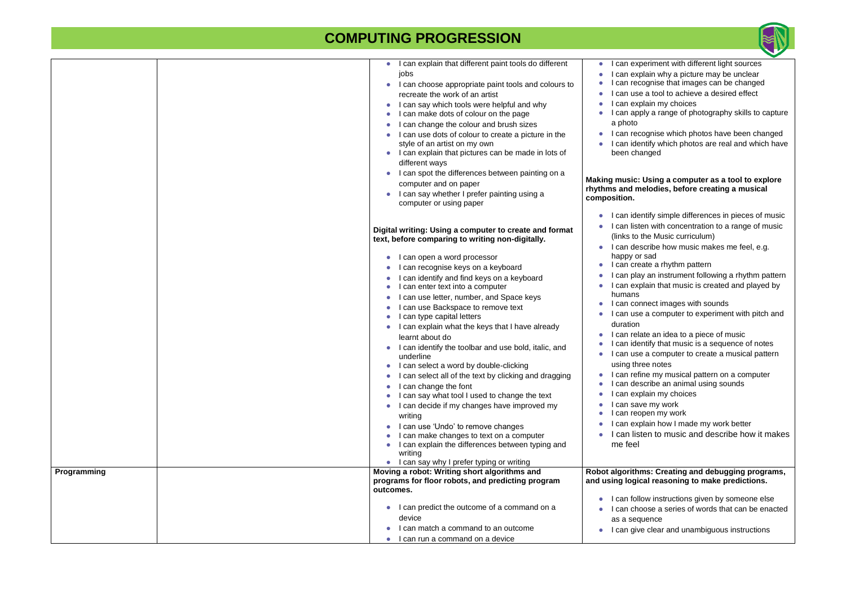#### **Making music: Using a computer as a tool to explore**  melodies, before creating a musical

- dentify simple differences in pieces of music isten with concentration to a range of music to the Music curriculum)
- describe how music makes me feel, e.g. or sad
- create a rhythm pattern
- blay an instrument following a rhythm pattern explain that music is created and played by
- connect images with sounds
- use a computer to experiment with pitch and
- elate an idea to a piece of music
- dentify that music is a sequence of notes
- ise a computer to create a musical pattern three notes
- efine my musical pattern on a computer lescribe an animal using sounds
- explain my choices
- ave my work
- eopen my work
- explain how I made my work better
- listen to music and describe how it makes

|             | I can explain that different paint tools do different                                             | I can exp<br>$\bullet$                    |
|-------------|---------------------------------------------------------------------------------------------------|-------------------------------------------|
|             | jobs                                                                                              | can exp                                   |
|             | I can choose appropriate paint tools and colours to                                               | can reco                                  |
|             | recreate the work of an artist                                                                    | I can use                                 |
|             | I can say which tools were helpful and why<br>$\bullet$                                           | l can exp                                 |
|             | I can make dots of colour on the page                                                             | I can app                                 |
|             | can change the colour and brush sizes                                                             | a photo                                   |
|             | I can use dots of colour to create a picture in the                                               | l can reco                                |
|             | style of an artist on my own                                                                      | I can ider                                |
|             | I can explain that pictures can be made in lots of                                                | been cha                                  |
|             | different ways                                                                                    |                                           |
|             | I can spot the differences between painting on a                                                  | Making music:                             |
|             | computer and on paper                                                                             | rhythms and mo                            |
|             | I can say whether I prefer painting using a<br>computer or using paper                            | composition.                              |
|             |                                                                                                   | I can ider<br>$\bullet$                   |
|             | Digital writing: Using a computer to create and format                                            | I can liste                               |
|             | text, before comparing to writing non-digitally.                                                  | (links to t                               |
|             |                                                                                                   | I can des                                 |
|             | I can open a word processor<br>$\bullet$                                                          | happy or                                  |
|             | I can recognise keys on a keyboard                                                                | I can crea                                |
|             | can identify and find keys on a keyboard                                                          | l can play                                |
|             | can enter text into a computer                                                                    | I can exp                                 |
|             | can use letter, number, and Space keys                                                            | humans<br>I can con                       |
|             | can use Backspace to remove text                                                                  | I can use                                 |
|             | can type capital letters                                                                          | duration                                  |
|             | I can explain what the keys that I have already<br>$\bullet$                                      | l can rela                                |
|             | learnt about do                                                                                   | I can ider                                |
|             | I can identify the toolbar and use bold, italic, and<br>underline                                 | I can use                                 |
|             | I can select a word by double-clicking                                                            | using thre                                |
|             | I can select all of the text by clicking and dragging                                             | I can refir<br>$\bullet$                  |
|             | can change the font                                                                               | I can des<br>$\bullet$                    |
|             | can say what tool I used to change the text                                                       | can exp                                   |
|             | can decide if my changes have improved my                                                         | can sav                                   |
|             | writing                                                                                           | l can reo <sub>l</sub>                    |
|             | I can use 'Undo' to remove changes                                                                | I can exp                                 |
|             | I can make changes to text on a computer                                                          | I can list                                |
|             | I can explain the differences between typing and                                                  | me feel                                   |
|             | writing                                                                                           |                                           |
|             | I can say why I prefer typing or writing                                                          |                                           |
| Programming | Moving a robot: Writing short algorithms and<br>programs for floor robots, and predicting program | <b>Robot algorithn</b><br>and using logic |
|             | outcomes.                                                                                         |                                           |
|             |                                                                                                   | I can follo                               |
|             | can predict the outcome of a command on a                                                         | I can cho                                 |
|             | device                                                                                            | as a sequ                                 |
|             | can match a command to an outcome                                                                 | I can give<br>$\bullet$                   |
|             | can run a command on a device                                                                     |                                           |



- experiment with different light sources explain why a picture may be unclear ecognise that images can be changed ise a tool to achieve a desired effect
- explain my choices
- apply a range of photography skills to capture

ecognise which photos have been changed dentify which photos are real and which have changed

#### **Robot algorithms: Creating and debugging programs, and using logical reasoning to make predictions.**

- follow instructions given by someone else choose a series of words that can be enacted equence
- give clear and unambiguous instructions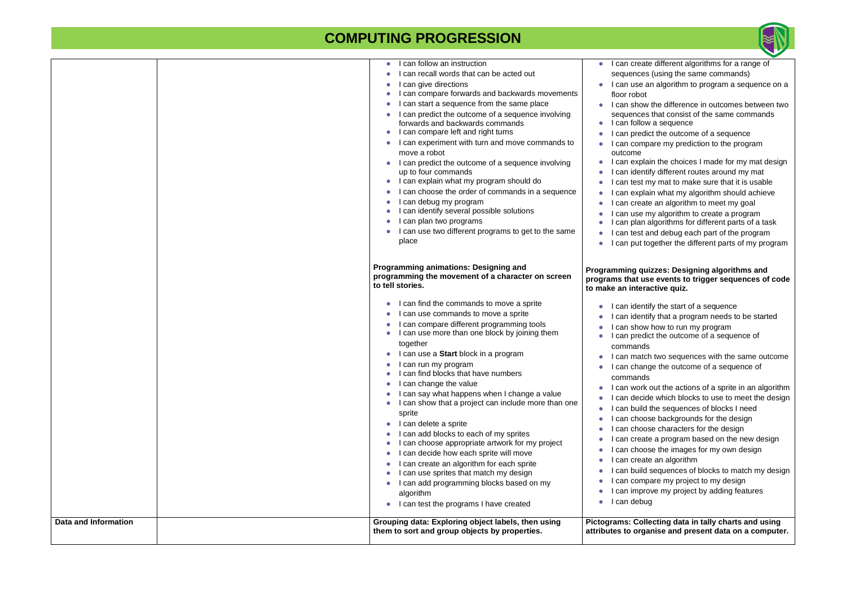#### **Programming quizzes: Designing algorithms and t use events to trigger sequences of code teractive quiz.**

- 
- lentify the start of a sequence<br>I can identify that a program needs to be started<br>how how to run my program
- 
- redict the outcome of a sequence of ands
- atch two sequences with the same outcome hange the outcome of a sequence of ands
- ork out the actions of a sprite in an algorithm ecide which blocks to use to meet the design
- uild the sequences of blocks I need
- hoose backgrounds for the design
- hoose characters for the design reate a program based on the new design
- hoose the images for my own design reate an algorithm
- uild sequences of blocks to match my design ompare my project to my design
- nprove my project by adding features ebug

**Philter Collecting data in tally charts and using attaburate and present data on a computer.** 

| <b>Data and Information</b> | Grouping data: Exploring object labels, then using<br>them to sort and group objects by properties.                                                                                                                                                                                                                                                                                                                                                                                                                                                                                                                                                                                                                                                                                                                                                                                                            | Pictograms: C<br>attributes to o                                                                                                                                                                                                                           |
|-----------------------------|----------------------------------------------------------------------------------------------------------------------------------------------------------------------------------------------------------------------------------------------------------------------------------------------------------------------------------------------------------------------------------------------------------------------------------------------------------------------------------------------------------------------------------------------------------------------------------------------------------------------------------------------------------------------------------------------------------------------------------------------------------------------------------------------------------------------------------------------------------------------------------------------------------------|------------------------------------------------------------------------------------------------------------------------------------------------------------------------------------------------------------------------------------------------------------|
|                             | I can find the commands to move a sprite<br>$\bullet$<br>I can use commands to move a sprite<br>I can compare different programming tools<br>I can use more than one block by joining them<br>together<br>I can use a Start block in a program<br>I can run my program<br>I can find blocks that have numbers<br>I can change the value<br>I can say what happens when I change a value<br>I can show that a project can include more than one<br>sprite<br>I can delete a sprite<br>$\bullet$<br>I can add blocks to each of my sprites<br>I can choose appropriate artwork for my project<br>I can decide how each sprite will move<br>I can create an algorithm for each sprite<br>I can use sprites that match my design<br>I can add programming blocks based on my<br>algorithm<br>I can test the programs I have created                                                                                | can id<br>can id<br>can sh<br>can pr<br>comma<br>l can m<br>I can ch<br>comma<br>l can w<br>can de<br>can bu<br>can ch<br>can ch<br>can cr<br>can ch<br>can cr<br>can bu<br>can co<br>can in<br>l can de                                                   |
|                             | I can follow an instruction<br>$\bullet$<br>I can recall words that can be acted out<br>$\bullet$<br>I can give directions<br>I can compare forwards and backwards movements<br>I can start a sequence from the same place<br>I can predict the outcome of a sequence involving<br>forwards and backwards commands<br>I can compare left and right turns<br>I can experiment with turn and move commands to<br>$\bullet$<br>move a robot<br>I can predict the outcome of a sequence involving<br>up to four commands<br>I can explain what my program should do<br>I can choose the order of commands in a sequence<br>I can debug my program<br>I can identify several possible solutions<br>I can plan two programs<br>I can use two different programs to get to the same<br>place<br><b>Programming animations: Designing and</b><br>programming the movement of a character on screen<br>to tell stories. | l can cr<br>sequen<br>I can us<br>floor rol<br>I can sł<br>sequen<br>l can fo<br>can pr<br>I can co<br>outcom<br>can ex<br>can id<br>can te<br>can ex<br>can cr<br>can us<br>can pl<br>can te<br>I can pu<br>Programming<br>programs that<br>to make an in |



- reate different algorithms for a range of ices (using the same commands) se an algorithm to program a sequence on a bot
- how the difference in outcomes between two ices that consist of the same commands **Illow a sequence**
- redict the outcome of a sequence ompare my prediction to the program ie.
- xplain the choices I made for my mat design lentify different routes around my mat est my mat to make sure that it is usable xplain what my algorithm should achieve
- reate an algorithm to meet my goal se my algorithm to create a program lan algorithms for different parts of a task est and debug each part of the program
- ut together the different parts of my program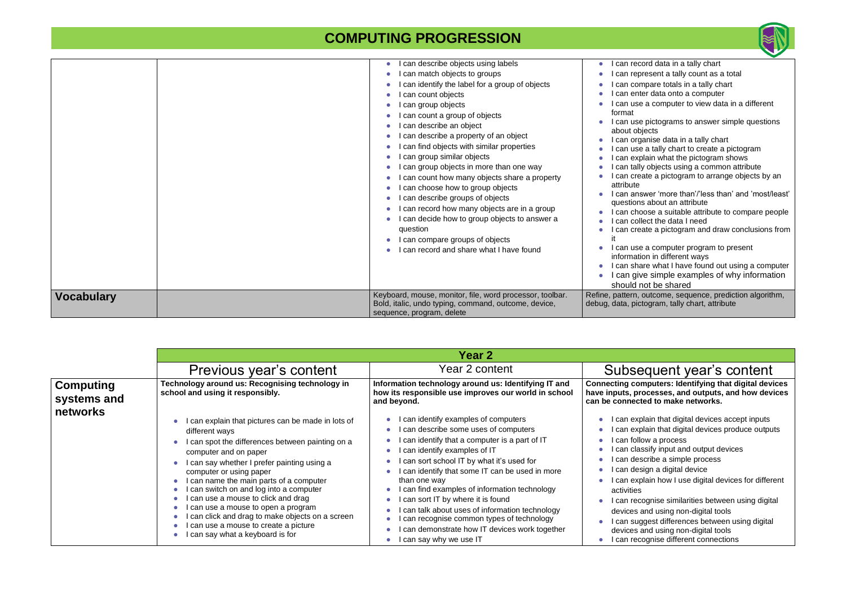|                   | can describe objects using labels<br>can match objects to groups<br>can identify the label for a group of objects<br>can count objects<br>can group objects<br>can count a group of objects<br>can describe an object<br>can describe a property of an object<br>can find objects with similar properties<br>can group similar objects<br>can group objects in more than one way<br>can count how many objects share a property<br>can choose how to group objects<br>can describe groups of objects<br>can record how many objects are in a group<br>can decide how to group objects to answer a<br>question<br>can compare groups of objects<br>can record and share what I have found<br>Keyboard, mouse, monitor, file, word processor, toolbar. | can red<br>can rep<br>can co<br>can en<br>can us<br>format<br>can us<br>about of<br>can org<br>can us<br>can ex<br>can tall<br>can cre<br>attribute<br>can an<br>questior<br>can ch<br>can co<br>can cre<br>can us<br>informat<br>can sh<br>can gi<br>should<br>Refine, pattern, |
|-------------------|------------------------------------------------------------------------------------------------------------------------------------------------------------------------------------------------------------------------------------------------------------------------------------------------------------------------------------------------------------------------------------------------------------------------------------------------------------------------------------------------------------------------------------------------------------------------------------------------------------------------------------------------------------------------------------------------------------------------------------------------------|----------------------------------------------------------------------------------------------------------------------------------------------------------------------------------------------------------------------------------------------------------------------------------|
| <b>Vocabulary</b> | Bold, italic, undo typing, command, outcome, device,<br>sequence, program, delete                                                                                                                                                                                                                                                                                                                                                                                                                                                                                                                                                                                                                                                                    | debug, data, pid                                                                                                                                                                                                                                                                 |

|                                             |                                                                                                                                                                                                                                                                                                                                                                                                                                                                                                                      | <b>Year 2</b>                                                                                                                                                                                                                                                                                                                                                                                                                                                                                                                      |                                                                                                                                                   |
|---------------------------------------------|----------------------------------------------------------------------------------------------------------------------------------------------------------------------------------------------------------------------------------------------------------------------------------------------------------------------------------------------------------------------------------------------------------------------------------------------------------------------------------------------------------------------|------------------------------------------------------------------------------------------------------------------------------------------------------------------------------------------------------------------------------------------------------------------------------------------------------------------------------------------------------------------------------------------------------------------------------------------------------------------------------------------------------------------------------------|---------------------------------------------------------------------------------------------------------------------------------------------------|
|                                             | Previous year's content                                                                                                                                                                                                                                                                                                                                                                                                                                                                                              | Year 2 content                                                                                                                                                                                                                                                                                                                                                                                                                                                                                                                     | <b>Subse</b>                                                                                                                                      |
| <b>Computing</b><br>systems and<br>networks | Technology around us: Recognising technology in<br>school and using it responsibly.                                                                                                                                                                                                                                                                                                                                                                                                                                  | Information technology around us: Identifying IT and<br>how its responsible use improves our world in school<br>and beyond.                                                                                                                                                                                                                                                                                                                                                                                                        | <b>Connecting co</b><br>have inputs, pr<br>can be connect                                                                                         |
|                                             | I can explain that pictures can be made in lots of<br>different ways<br>I can spot the differences between painting on a<br>computer and on paper<br>I can say whether I prefer painting using a<br>computer or using paper<br>can name the main parts of a computer<br>can switch on and log into a computer<br>can use a mouse to click and drag<br>I can use a mouse to open a program<br>can click and drag to make objects on a screen<br>can use a mouse to create a picture<br>can say what a keyboard is for | can identify examples of computers<br>can describe some uses of computers<br>can identify that a computer is a part of IT<br>can identify examples of IT<br>can sort school IT by what it's used for<br>can identify that some IT can be used in more<br>than one way<br>I can find examples of information technology<br>can sort IT by where it is found<br>can talk about uses of information technology<br>can recognise common types of technology<br>can demonstrate how IT devices work together<br>I can say why we use IT | can exp<br>can exp<br>can foll<br>can cla<br>can des<br>can des<br>can exp<br>activities<br>can rec<br>devices<br>can suç<br>devices<br>l can rec |



cord data in a tally chart present a tally count as a total mpare totals in a tally chart nter data onto a computer

se a computer to view data in a different

- se pictograms to answer simple questions bjects
- ganise data in a tally chart
- e a tally chart to create a pictogram
- plain what the pictogram shows
- ly objects using a common attribute
- eate a pictogram to arrange objects by an
- iswer 'more than'/'less than' and 'most/least' ns about an attribute
- oose a suitable attribute to compare people llect the data I need
- eate a pictogram and draw conclusions from
- e a computer program to present
- tion in different ways
- are what I have found out using a computer ve simple examples of why information not be shared
- outcome, sequence, prediction algorithm, ctogram, tally chart, attribute

#### equent year's content

**mputers: Identifying that digital devices have inputs, processes, and outputs, and how devices charged to make networks.** 

- plain that digital devices accept inputs
- plain that digital devices produce outputs low a process
- issify input and output devices
- scribe a simple process
- sign a digital device
- plain how I use digital devices for different
- cognise similarities between using digital and using non-digital tools
- ggest differences between using digital
- and using non-digital tools
- cognise different connections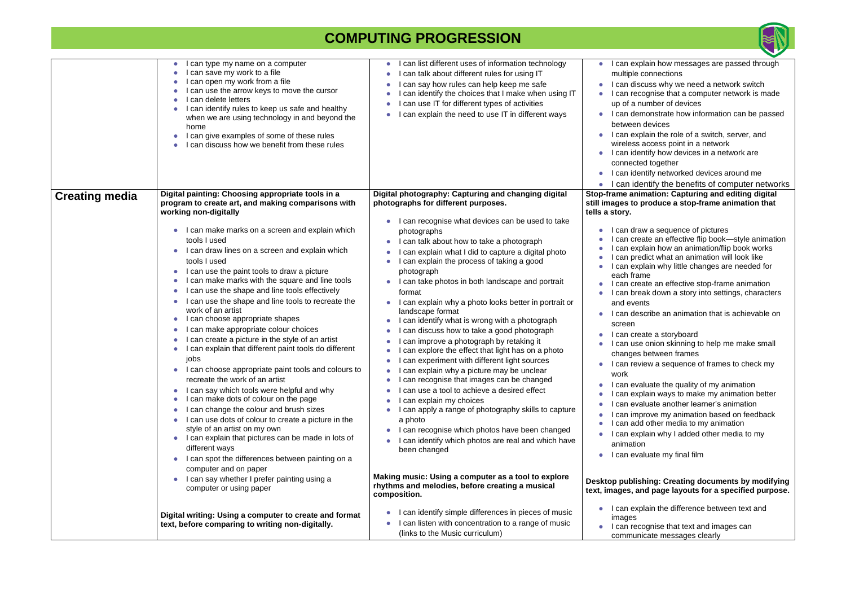|                       | I can type my name on a computer<br>I can save my work to a file<br>I can open my work from a file<br>I can use the arrow keys to move the cursor<br>I can delete letters<br>I can identify rules to keep us safe and healthy<br>when we are using technology in and beyond the<br>home<br>I can give examples of some of these rules<br>I can discuss how we benefit from these rules                                                                                                                                                                                                                                                                                                                                                                                                                                                                                                                                                                                                                                                                                                                                                                                                                                                                                                                                                                                                                                  | I can list different uses of information technology<br>I can talk about different rules for using IT<br>$\bullet$<br>I can say how rules can help keep me safe<br>$\bullet$<br>can identify the choices that I make when using IT<br>can use IT for different types of activities<br>$\bullet$<br>I can explain the need to use IT in different ways                                                                                                                                                                                                                                                                                                                                                                                                                                                                                                                                                                                                                                                                                                                                                                                                                                                                                                                                                                                                                                                 | I can explain how messages are passed through<br>multiple connections<br>I can discuss why we need a network switch<br>can recognise that a computer network is made<br>up of a number of devices<br>I can demonstrate how information can be passe<br>between devices<br>I can explain the role of a switch, server, and<br>wireless access point in a network<br>I can identify how devices in a network are<br>connected together<br>I can identify networked devices around me<br>$\bullet$<br>I can identify the benefits of computer networ                                                                                                                                                                                                                                                                                                                                                                                                                                                                                                                                                                                                                                                                                                                               |
|-----------------------|-------------------------------------------------------------------------------------------------------------------------------------------------------------------------------------------------------------------------------------------------------------------------------------------------------------------------------------------------------------------------------------------------------------------------------------------------------------------------------------------------------------------------------------------------------------------------------------------------------------------------------------------------------------------------------------------------------------------------------------------------------------------------------------------------------------------------------------------------------------------------------------------------------------------------------------------------------------------------------------------------------------------------------------------------------------------------------------------------------------------------------------------------------------------------------------------------------------------------------------------------------------------------------------------------------------------------------------------------------------------------------------------------------------------------|------------------------------------------------------------------------------------------------------------------------------------------------------------------------------------------------------------------------------------------------------------------------------------------------------------------------------------------------------------------------------------------------------------------------------------------------------------------------------------------------------------------------------------------------------------------------------------------------------------------------------------------------------------------------------------------------------------------------------------------------------------------------------------------------------------------------------------------------------------------------------------------------------------------------------------------------------------------------------------------------------------------------------------------------------------------------------------------------------------------------------------------------------------------------------------------------------------------------------------------------------------------------------------------------------------------------------------------------------------------------------------------------------|---------------------------------------------------------------------------------------------------------------------------------------------------------------------------------------------------------------------------------------------------------------------------------------------------------------------------------------------------------------------------------------------------------------------------------------------------------------------------------------------------------------------------------------------------------------------------------------------------------------------------------------------------------------------------------------------------------------------------------------------------------------------------------------------------------------------------------------------------------------------------------------------------------------------------------------------------------------------------------------------------------------------------------------------------------------------------------------------------------------------------------------------------------------------------------------------------------------------------------------------------------------------------------|
| <b>Creating media</b> | Digital painting: Choosing appropriate tools in a<br>program to create art, and making comparisons with<br>working non-digitally<br>I can make marks on a screen and explain which<br>tools I used<br>I can draw lines on a screen and explain which<br>tools I used<br>I can use the paint tools to draw a picture<br>I can make marks with the square and line tools<br>$\bullet$<br>I can use the shape and line tools effectively<br>$\bullet$<br>I can use the shape and line tools to recreate the<br>work of an artist<br>I can choose appropriate shapes<br>$\bullet$<br>I can make appropriate colour choices<br>I can create a picture in the style of an artist<br>I can explain that different paint tools do different<br>jobs<br>I can choose appropriate paint tools and colours to<br>recreate the work of an artist<br>I can say which tools were helpful and why<br>I can make dots of colour on the page<br>$\bullet$<br>I can change the colour and brush sizes<br>$\bullet$<br>I can use dots of colour to create a picture in the<br>$\bullet$<br>style of an artist on my own<br>I can explain that pictures can be made in lots of<br>$\bullet$<br>different ways<br>I can spot the differences between painting on a<br>computer and on paper<br>I can say whether I prefer painting using a<br>$\bullet$<br>computer or using paper<br>Digital writing: Using a computer to create and format | Digital photography: Capturing and changing digital<br>photographs for different purposes.<br>I can recognise what devices can be used to take<br>photographs<br>I can talk about how to take a photograph<br>$\bullet$<br>I can explain what I did to capture a digital photo<br>I can explain the process of taking a good<br>photograph<br>I can take photos in both landscape and portrait<br>format<br>I can explain why a photo looks better in portrait or<br>landscape format<br>I can identify what is wrong with a photograph<br>$\bullet$<br>can discuss how to take a good photograph<br>$\bullet$<br>I can improve a photograph by retaking it<br>$\bullet$<br>can explore the effect that light has on a photo<br>$\bullet$<br>I can experiment with different light sources<br>$\bullet$<br>I can explain why a picture may be unclear<br>$\bullet$<br>I can recognise that images can be changed<br>I can use a tool to achieve a desired effect<br>I can explain my choices<br>$\bullet$<br>I can apply a range of photography skills to capture<br>a photo<br>I can recognise which photos have been changed<br>I can identify which photos are real and which have<br>been changed<br>Making music: Using a computer as a tool to explore<br>rhythms and melodies, before creating a musical<br>composition.<br>I can identify simple differences in pieces of music<br>$\bullet$ | Stop-frame animation: Capturing and editing digital<br>still images to produce a stop-frame animation that<br>tells a story.<br>can draw a sequence of pictures<br>can create an effective flip book-style animation<br>can explain how an animation/flip book works<br>can predict what an animation will look like<br>can explain why little changes are needed for<br>each frame<br>I can create an effective stop-frame animation<br>l can break down a story into settings, characters<br>and events<br>I can describe an animation that is achievable or<br>screen<br>can create a storyboard<br>can use onion skinning to help me make small<br>changes between frames<br>I can review a sequence of frames to check my<br>work<br>I can evaluate the quality of my animation<br>can explain ways to make my animation better<br>can evaluate another learner's animation<br>can improve my animation based on feedback<br>$\bullet$<br>can add other media to my animation<br>$\bullet$<br>can explain why I added other media to my<br>animation<br>I can evaluate my final film<br>$\bullet$<br>Desktop publishing: Creating documents by modifyi<br>text, images, and page layouts for a specified purpor<br>I can explain the difference between text and<br>images |
|                       | text, before comparing to writing non-digitally.                                                                                                                                                                                                                                                                                                                                                                                                                                                                                                                                                                                                                                                                                                                                                                                                                                                                                                                                                                                                                                                                                                                                                                                                                                                                                                                                                                        | I can listen with concentration to a range of music<br>(links to the Music curriculum)                                                                                                                                                                                                                                                                                                                                                                                                                                                                                                                                                                                                                                                                                                                                                                                                                                                                                                                                                                                                                                                                                                                                                                                                                                                                                                               | I can recognise that text and images can<br>communicate messages clearly                                                                                                                                                                                                                                                                                                                                                                                                                                                                                                                                                                                                                                                                                                                                                                                                                                                                                                                                                                                                                                                                                                                                                                                                        |



- liscuss why we need a network switch ecognise that a computer network is made number of devices lemonstrate how information can be passed en devices explain the role of a switch, server, and ss access point in a network dentify how devices in a network are cted together dentify networked devices around me dentify the benefits of computer networks **nimation: Capturing and editing digital o produce a stop-frame animation that** Iraw a sequence of pictures reate an effective flip book—style animation explain how an animation/flip book works redict what an animation will look like explain why little changes are needed for rame reate an effective stop-frame animation reak down a story into settings, characters ents lescribe an animation that is achievable on reate a storyboard ise onion skinning to help me make small es between frames eview a sequence of frames to check my
- valuate the quality of my animation
- explain ways to make my animation better
- valuate another learner's animation
- mprove my animation based on feedback
- dd other media to my animation
- explain why I added other media to my tion
- valuate my final film

#### **Dishing: Creating documents by modifying** and page layouts for a specified purpose.

ecognise that text and images can unicate messages clearly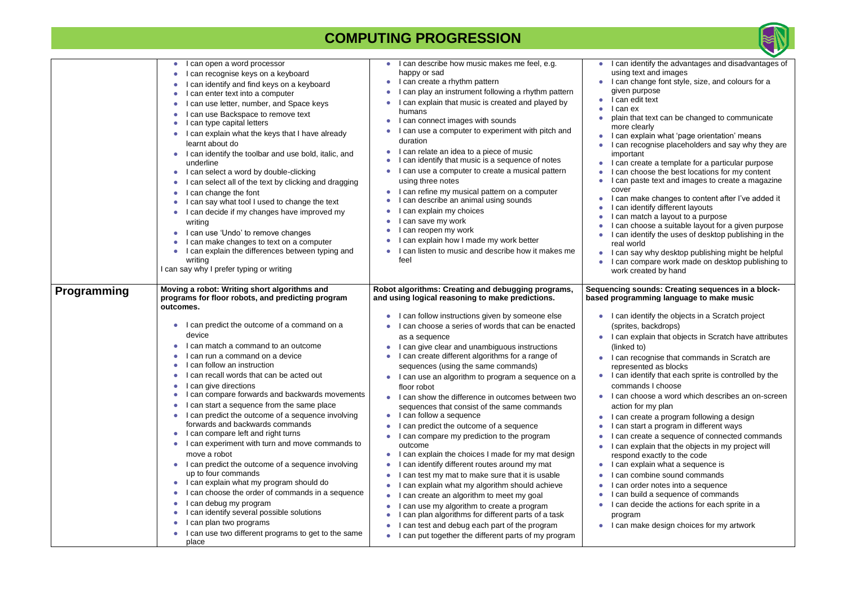|                    | can open a word processor<br>$\bullet$<br>can recognise keys on a keyboard<br>$\bullet$<br>can identify and find keys on a keyboard<br>can enter text into a computer<br>can use letter, number, and Space keys<br>$\bullet$<br>can use Backspace to remove text<br>can type capital letters<br>I can explain what the keys that I have already<br>learnt about do<br>I can identify the toolbar and use bold, italic, and<br>underline<br>I can select a word by double-clicking<br>$\bullet$<br>can select all of the text by clicking and dragging<br>$\bullet$<br>can change the font<br>$\bullet$<br>can say what tool I used to change the text<br>I can decide if my changes have improved my<br>writing<br>I can use 'Undo' to remove changes<br>I can make changes to text on a computer<br>I can explain the differences between typing and<br>writing<br>I can say why I prefer typing or writing                                                                                                                                                                                 | I can describe how music makes me feel, e.g.<br>happy or sad<br>I can create a rhythm pattern<br>I can play an instrument following a rhythm pattern<br>I can explain that music is created and played by<br>humans<br>I can connect images with sounds<br>can use a computer to experiment with pitch and<br>duration<br>I can relate an idea to a piece of music<br>I can identify that music is a sequence of notes<br>I can use a computer to create a musical pattern<br>using three notes<br>I can refine my musical pattern on a computer<br>can describe an animal using sounds<br>can explain my choices<br>I can save my work<br>can reopen my work<br>can explain how I made my work better<br>can listen to music and describe how it makes me<br>feel                                                                                                                                                                                                                                                                                                                                                                  | I can identify<br>using text and<br>I can change<br>given purpos<br>can edit text<br>can ex<br>plain that text<br>more clearly<br>I can explain<br>I can recogni:<br>important<br>I can create a<br>can choose<br>can paste te<br>cover<br>I can make cl<br>I can identify<br>l can match a<br>I can choose<br>I can identify<br>real world<br>can say why<br>can compar<br>work created                                   |
|--------------------|----------------------------------------------------------------------------------------------------------------------------------------------------------------------------------------------------------------------------------------------------------------------------------------------------------------------------------------------------------------------------------------------------------------------------------------------------------------------------------------------------------------------------------------------------------------------------------------------------------------------------------------------------------------------------------------------------------------------------------------------------------------------------------------------------------------------------------------------------------------------------------------------------------------------------------------------------------------------------------------------------------------------------------------------------------------------------------------------|-------------------------------------------------------------------------------------------------------------------------------------------------------------------------------------------------------------------------------------------------------------------------------------------------------------------------------------------------------------------------------------------------------------------------------------------------------------------------------------------------------------------------------------------------------------------------------------------------------------------------------------------------------------------------------------------------------------------------------------------------------------------------------------------------------------------------------------------------------------------------------------------------------------------------------------------------------------------------------------------------------------------------------------------------------------------------------------------------------------------------------------|----------------------------------------------------------------------------------------------------------------------------------------------------------------------------------------------------------------------------------------------------------------------------------------------------------------------------------------------------------------------------------------------------------------------------|
| <b>Programming</b> | Moving a robot: Writing short algorithms and<br>programs for floor robots, and predicting program<br>outcomes.<br>I can predict the outcome of a command on a<br>$\bullet$<br>device<br>can match a command to an outcome<br>can run a command on a device<br>can follow an instruction<br>I can recall words that can be acted out<br>can give directions<br>$\bullet$<br>can compare forwards and backwards movements<br>$\bullet$<br>can start a sequence from the same place<br>$\bullet$<br>can predict the outcome of a sequence involving<br>forwards and backwards commands<br>I can compare left and right turns<br>can experiment with turn and move commands to<br>move a robot<br>I can predict the outcome of a sequence involving<br>up to four commands<br>can explain what my program should do<br>$\bullet$<br>can choose the order of commands in a sequence<br>$\bullet$<br>can debug my program<br>$\bullet$<br>can identify several possible solutions<br>$\bullet$<br>can plan two programs<br>$\bullet$<br>can use two different programs to get to the same<br>place | Robot algorithms: Creating and debugging programs,<br>and using logical reasoning to make predictions.<br>I can follow instructions given by someone else<br>can choose a series of words that can be enacted<br>as a sequence<br>I can give clear and unambiguous instructions<br>I can create different algorithms for a range of<br>sequences (using the same commands)<br>I can use an algorithm to program a sequence on a<br>floor robot<br>I can show the difference in outcomes between two<br>sequences that consist of the same commands<br>I can follow a sequence<br>can predict the outcome of a sequence<br>can compare my prediction to the program<br>outcome<br>can explain the choices I made for my mat design<br>can identify different routes around my mat<br>can test my mat to make sure that it is usable<br>can explain what my algorithm should achieve<br>can create an algorithm to meet my goal<br>can use my algorithm to create a program<br>can plan algorithms for different parts of a task<br>can test and debug each part of the program<br>can put together the different parts of my program | <b>Sequencing sounds</b><br>based programming<br>I can identify<br>(sprites, back<br>I can explain<br>(linked to)<br>I can recognis<br>represented a<br>$\bullet$ I can identify<br>commands I<br>I can choose<br>action for my<br>can create a<br>can start a p<br>can create a<br>can explain<br>respond exac<br>can explain<br>can combine<br>can order no<br>can build a s<br>can decide t<br>program<br>I can make de |



| $\bullet$              | I can identify the advantages and disadvantages of                                                 |
|------------------------|----------------------------------------------------------------------------------------------------|
|                        | using text and images                                                                              |
| $\bullet$              | I can change font style, size, and colours for a                                                   |
|                        | given purpose                                                                                      |
| $\bullet$              | I can edit text                                                                                    |
| $\bullet$              | I can ex                                                                                           |
| $\bullet$              | plain that text can be changed to communicate                                                      |
|                        | more clearly                                                                                       |
| $\bullet$              | I can explain what 'page orientation' means                                                        |
| $\bullet$              | I can recognise placeholders and say why they are                                                  |
|                        | important                                                                                          |
| $\bullet$              | I can create a template for a particular purpose<br>I can choose the best locations for my content |
| $\bullet$<br>$\bullet$ | I can paste text and images to create a magazine                                                   |
|                        | cover                                                                                              |
| $\bullet$              | I can make changes to content after I've added it                                                  |
| $\bullet$              | I can identify different layouts                                                                   |
| $\bullet$              | I can match a layout to a purpose                                                                  |
| $\bullet$              | I can choose a suitable layout for a given purpose                                                 |
| $\bullet$              | I can identify the uses of desktop publishing in the                                               |
|                        | real world                                                                                         |
| $\bullet$              | I can say why desktop publishing might be helpful                                                  |
| $\bullet$              | I can compare work made on desktop publishing to                                                   |
|                        | work created by hand                                                                               |
|                        |                                                                                                    |
|                        | Sequencing sounds: Creating sequences in a block-                                                  |
|                        |                                                                                                    |
|                        | based programming language to make music                                                           |
|                        |                                                                                                    |
| $\bullet$              | I can identify the objects in a Scratch project                                                    |
|                        | (sprites, backdrops)                                                                               |
| 0                      | I can explain that objects in Scratch have attributes                                              |
|                        | (linked to)                                                                                        |
| $\bullet$              | I can recognise that commands in Scratch are                                                       |
|                        | represented as blocks                                                                              |
|                        | I can identify that each sprite is controlled by the                                               |
|                        | commands I choose                                                                                  |
| 0                      | I can choose a word which describes an on-screen                                                   |
|                        | action for my plan                                                                                 |
|                        | I can create a program following a design                                                          |
|                        | I can start a program in different ways                                                            |
|                        | I can create a sequence of connected commands                                                      |
|                        | I can explain that the objects in my project will                                                  |
|                        | respond exactly to the code                                                                        |
| $\bullet$              | I can explain what a sequence is                                                                   |
|                        | I can combine sound commands                                                                       |
|                        | I can order notes into a sequence                                                                  |
|                        | I can build a sequence of commands                                                                 |
|                        | I can decide the actions for each sprite in a                                                      |
|                        | program                                                                                            |
|                        | I can make design choices for my artwork                                                           |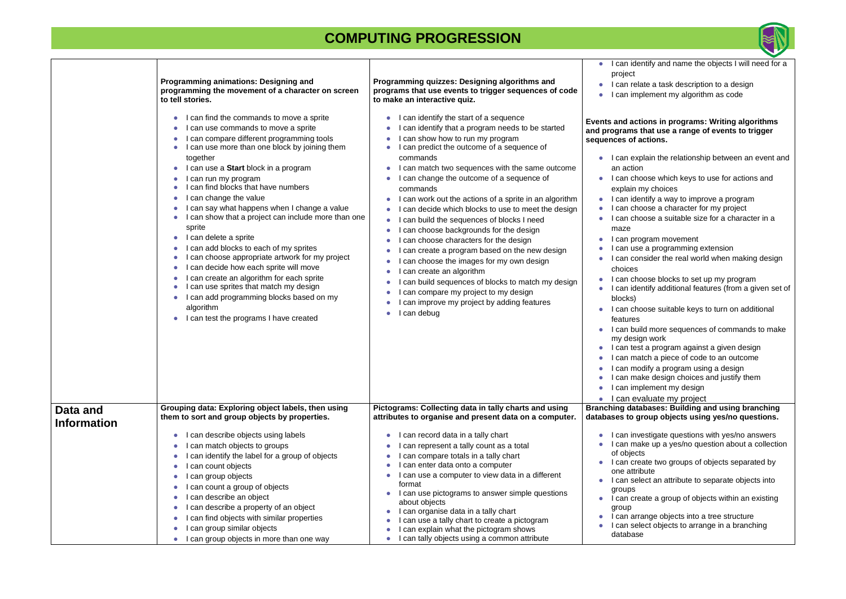|                                | Programming animations: Designing and<br>programming the movement of a character on screen<br>to tell stories.                                                                                                                                                                                                                                                                                                                                                                                                                                                                                                                                                                                                                                                                                      | Programming quizzes: Designing algorithms and<br>programs that use events to trigger sequences of code<br>to make an interactive quiz.                                                                                                                                                                                                                                                                                                                                                                                                                                                                                                                                                                                                                                                                                                                                                                                                                                                                                                        | I can identify and name the objects I will need for a<br>project<br>I can relate a task description to a design<br>I can implement my algorithm as code                                                                                                                                                                                                                                                                                                                                                                                                                                                                                                                                                                                                                                                                                                                                                                                                                                                                                                           |
|--------------------------------|-----------------------------------------------------------------------------------------------------------------------------------------------------------------------------------------------------------------------------------------------------------------------------------------------------------------------------------------------------------------------------------------------------------------------------------------------------------------------------------------------------------------------------------------------------------------------------------------------------------------------------------------------------------------------------------------------------------------------------------------------------------------------------------------------------|-----------------------------------------------------------------------------------------------------------------------------------------------------------------------------------------------------------------------------------------------------------------------------------------------------------------------------------------------------------------------------------------------------------------------------------------------------------------------------------------------------------------------------------------------------------------------------------------------------------------------------------------------------------------------------------------------------------------------------------------------------------------------------------------------------------------------------------------------------------------------------------------------------------------------------------------------------------------------------------------------------------------------------------------------|-------------------------------------------------------------------------------------------------------------------------------------------------------------------------------------------------------------------------------------------------------------------------------------------------------------------------------------------------------------------------------------------------------------------------------------------------------------------------------------------------------------------------------------------------------------------------------------------------------------------------------------------------------------------------------------------------------------------------------------------------------------------------------------------------------------------------------------------------------------------------------------------------------------------------------------------------------------------------------------------------------------------------------------------------------------------|
|                                | I can find the commands to move a sprite<br>I can use commands to move a sprite<br>I can compare different programming tools<br>I can use more than one block by joining them<br>together<br>I can use a Start block in a program<br>I can run my program<br>can find blocks that have numbers<br>I can change the value<br>I can say what happens when I change a value<br>I can show that a project can include more than one<br>sprite<br>I can delete a sprite<br>I can add blocks to each of my sprites<br>I can choose appropriate artwork for my project<br>I can decide how each sprite will move<br>I can create an algorithm for each sprite<br>I can use sprites that match my design<br>I can add programming blocks based on my<br>algorithm<br>I can test the programs I have created | I can identify the start of a sequence<br>$\bullet$<br>I can identify that a program needs to be started<br>$\bullet$<br>I can show how to run my program<br>$\bullet$<br>I can predict the outcome of a sequence of<br>commands<br>I can match two sequences with the same outcome<br>$\bullet$<br>I can change the outcome of a sequence of<br>$\bullet$<br>commands<br>I can work out the actions of a sprite in an algorithm<br>$\bullet$<br>I can decide which blocks to use to meet the design<br>I can build the sequences of blocks I need<br>$\bullet$<br>can choose backgrounds for the design<br>$\bullet$<br>can choose characters for the design<br>can create a program based on the new design<br>$\bullet$<br>I can choose the images for my own design<br>$\bullet$<br>I can create an algorithm<br>$\bullet$<br>can build sequences of blocks to match my design<br>$\bullet$<br>I can compare my project to my design<br>$\bullet$<br>I can improve my project by adding features<br>$\bullet$<br>I can debug<br>$\bullet$ | Events and actions in programs: Writing algorithms<br>and programs that use a range of events to trigger<br>sequences of actions.<br>I can explain the relationship between an event and<br>an action<br>I can choose which keys to use for actions and<br>explain my choices<br>I can identify a way to improve a program<br>I can choose a character for my project<br>I can choose a suitable size for a character in a<br>maze<br>I can program movement<br>I can use a programming extension<br>I can consider the real world when making design<br>choices<br>I can choose blocks to set up my program<br>I can identify additional features (from a given set of<br>blocks)<br>I can choose suitable keys to turn on additional<br>features<br>I can build more sequences of commands to make<br>my design work<br>I can test a program against a given design<br>can match a piece of code to an outcome<br>I can modify a program using a design<br>I can make design choices and justify them<br>I can implement my design<br>I can evaluate my project |
| Data and<br><b>Information</b> | Grouping data: Exploring object labels, then using<br>them to sort and group objects by properties.                                                                                                                                                                                                                                                                                                                                                                                                                                                                                                                                                                                                                                                                                                 | Pictograms: Collecting data in tally charts and using<br>attributes to organise and present data on a computer.                                                                                                                                                                                                                                                                                                                                                                                                                                                                                                                                                                                                                                                                                                                                                                                                                                                                                                                               | <b>Branching databases: Building and using branching</b><br>databases to group objects using yes/no questions.                                                                                                                                                                                                                                                                                                                                                                                                                                                                                                                                                                                                                                                                                                                                                                                                                                                                                                                                                    |
|                                | I can describe objects using labels<br>can match objects to groups<br>can identify the label for a group of objects<br>can count objects<br>I can group objects<br>I can count a group of objects<br>can describe an object<br>can describe a property of an object<br>can find objects with similar properties<br>can group similar objects<br>I can group objects in more than one way                                                                                                                                                                                                                                                                                                                                                                                                            | I can record data in a tally chart<br>$\bullet$<br>I can represent a tally count as a total<br>can compare totals in a tally chart<br>I can enter data onto a computer<br>٠<br>I can use a computer to view data in a different<br>format<br>I can use pictograms to answer simple questions<br>about objects<br>I can organise data in a tally chart<br>$\bullet$<br>I can use a tally chart to create a pictogram<br>I can explain what the pictogram shows<br>I can tally objects using a common attribute                                                                                                                                                                                                                                                                                                                                                                                                                                                                                                                                 | I can investigate questions with yes/no answers<br>I can make up a yes/no question about a collection<br>of objects<br>I can create two groups of objects separated by<br>one attribute<br>I can select an attribute to separate objects into<br>groups<br>I can create a group of objects within an existing<br>group<br>I can arrange objects into a tree structure<br>I can select objects to arrange in a branching<br>database                                                                                                                                                                                                                                                                                                                                                                                                                                                                                                                                                                                                                               |

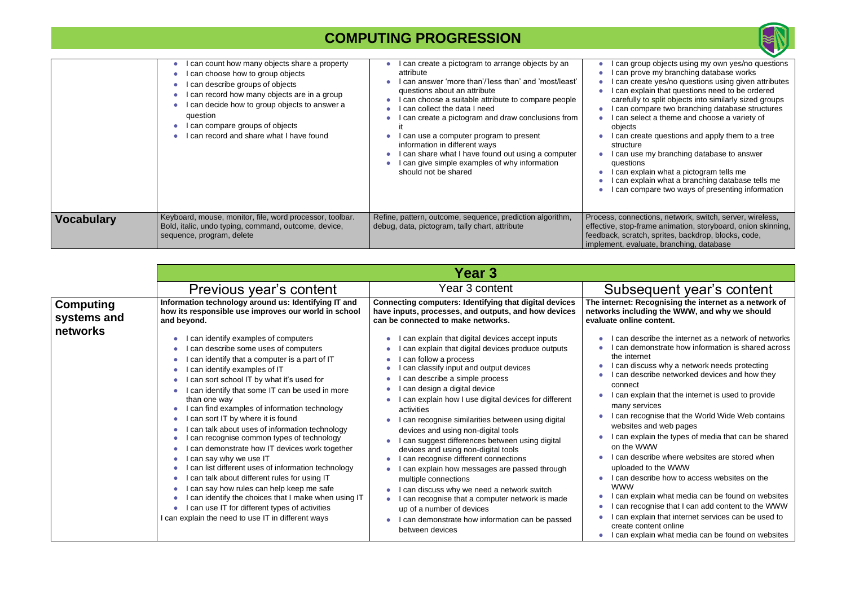|                   | can count how many objects share a property<br>can choose how to group objects<br>can describe groups of objects<br>can record how many objects are in a group<br>can decide how to group objects to answer a<br>question<br>can compare groups of objects<br>can record and share what I have found | can create a pictogram to arrange objects by an<br>attribute<br>can answer 'more than'/'less than' and 'most/least'<br>questions about an attribute<br>can choose a suitable attribute to compare people<br>can collect the data I need<br>can create a pictogram and draw conclusions from<br>can use a computer program to present<br>information in different ways<br>can share what I have found out using a computer<br>can give simple examples of why information<br>should not be shared | can gro<br>l can pro<br>can cre<br>l can exr<br>carefully<br>I can cor<br>l can sel<br>objects<br>acan cre<br>structure<br>can use<br>question<br>can exp<br>can exp<br>can cor |
|-------------------|------------------------------------------------------------------------------------------------------------------------------------------------------------------------------------------------------------------------------------------------------------------------------------------------------|--------------------------------------------------------------------------------------------------------------------------------------------------------------------------------------------------------------------------------------------------------------------------------------------------------------------------------------------------------------------------------------------------------------------------------------------------------------------------------------------------|---------------------------------------------------------------------------------------------------------------------------------------------------------------------------------|
| <b>Vocabulary</b> | Keyboard, mouse, monitor, file, word processor, toolbar.<br>Bold, italic, undo typing, command, outcome, device,<br>sequence, program, delete                                                                                                                                                        | Refine, pattern, outcome, sequence, prediction algorithm,<br>debug, data, pictogram, tally chart, attribute                                                                                                                                                                                                                                                                                                                                                                                      | Process, conner<br>effective, stop-fr<br>feedback, scrato<br>implement, eval                                                                                                    |

**The internet: Recognising the internet as a network of networks including the WWW, and why we should e** content.

- escribe the internet as a network of networks emonstrate how information is shared across ernet
- iscuss why a network needs protecting escribe networked devices and how they
- xplain that the internet is used to provide ervices
- ecognise that the World Wide Web contains es and web pages
- xplain the types of media that can be shared WWW
- escribe where websites are stored when ed to the WWW
- escribe how to access websites on the
- xplain what media can be found on websites ecognise that I can add content to the WWW xplain that internet services can be used to content online
- xplain what media can be found on websites

|                                             |                                                                                                                                                                                                                                                                                                                                                                                                                                                                                                                                                                                                                                                                                                 | Year 3                                                                                                                                                                                                                                                                                                                                                                                                                                                                                                                                                                                                               |                                                                                                                                                                                |
|---------------------------------------------|-------------------------------------------------------------------------------------------------------------------------------------------------------------------------------------------------------------------------------------------------------------------------------------------------------------------------------------------------------------------------------------------------------------------------------------------------------------------------------------------------------------------------------------------------------------------------------------------------------------------------------------------------------------------------------------------------|----------------------------------------------------------------------------------------------------------------------------------------------------------------------------------------------------------------------------------------------------------------------------------------------------------------------------------------------------------------------------------------------------------------------------------------------------------------------------------------------------------------------------------------------------------------------------------------------------------------------|--------------------------------------------------------------------------------------------------------------------------------------------------------------------------------|
|                                             | Previous year's content                                                                                                                                                                                                                                                                                                                                                                                                                                                                                                                                                                                                                                                                         | Year 3 content                                                                                                                                                                                                                                                                                                                                                                                                                                                                                                                                                                                                       | <b>Subs</b>                                                                                                                                                                    |
| <b>Computing</b><br>systems and<br>networks | Information technology around us: Identifying IT and<br>how its responsible use improves our world in school<br>and beyond.<br>I can identify examples of computers<br>I can describe some uses of computers                                                                                                                                                                                                                                                                                                                                                                                                                                                                                    | <b>Connecting computers: Identifying that digital devices</b><br>have inputs, processes, and outputs, and how devices<br>can be connected to make networks.<br>I can explain that digital devices accept inputs<br>I can explain that digital devices produce outputs                                                                                                                                                                                                                                                                                                                                                | The internet: F<br>networks inclu<br>evaluate onlin<br>can de<br>can de                                                                                                        |
|                                             | I can identify that a computer is a part of IT<br>I can identify examples of IT<br>I can sort school IT by what it's used for<br>I can identify that some IT can be used in more<br>than one way<br>I can find examples of information technology<br>I can sort IT by where it is found<br>I can talk about uses of information technology<br>I can recognise common types of technology<br>I can demonstrate how IT devices work together<br>I can say why we use IT<br>I can list different uses of information technology<br>I can talk about different rules for using IT<br>$\bullet$<br>I can say how rules can help keep me safe<br>I can identify the choices that I make when using IT | I can follow a process<br>I can classify input and output devices<br>can describe a simple process<br>I can design a digital device<br>I can explain how I use digital devices for different<br>activities<br>I can recognise similarities between using digital<br>devices and using non-digital tools<br>I can suggest differences between using digital<br>devices and using non-digital tools<br>I can recognise different connections<br>I can explain how messages are passed through<br>multiple connections<br>I can discuss why we need a network switch<br>I can recognise that a computer network is made | the inter<br>l can dis<br>l can de<br>connect<br>l can ex<br>many se<br>can re<br>website<br>l can ex<br>on the V<br>l can de<br>uploade<br>l can de<br><b>WWW</b><br>l can ex |
|                                             | I can use IT for different types of activities<br>I can explain the need to use IT in different ways                                                                                                                                                                                                                                                                                                                                                                                                                                                                                                                                                                                            | up of a number of devices<br>I can demonstrate how information can be passed<br>between devices                                                                                                                                                                                                                                                                                                                                                                                                                                                                                                                      | l can re<br>I can ex<br>create c<br>I can ex                                                                                                                                   |



oup objects using my own yes/no questions ove my branching database works eate yes/no questions using given attributes plain that questions need to be ordered to split objects into similarly sized groups mpare two branching database structures lect a theme and choose a variety of

- eate questions and apply them to a tree
- e my branching database to answer l
- plain what a pictogram tells me
- plain what a branching database tells me
- mpare two ways of presenting information

ctions, network, switch, server, wireless, rame animation, storyboard, onion skinning, ch, sprites, backdrop, blocks, code, luate, branching, database

#### equent year's content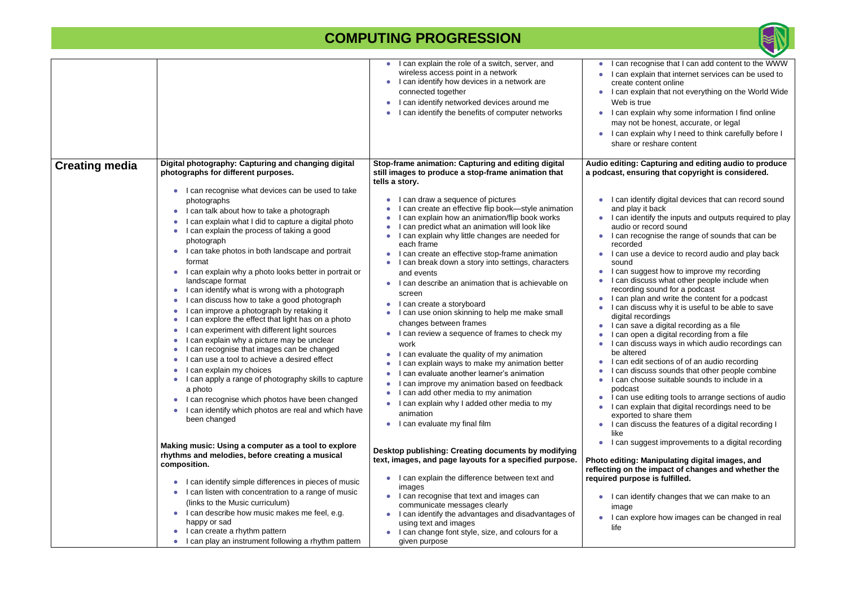|                       |                                                                                                                                                                                                                                                                                                                                                                                                                                                                                                                                                                                                                                                                                                                                                                                                                                                                          | I can explain the role of a switch, server, and<br>wireless access point in a network<br>I can identify how devices in a network are<br>connected together<br>can identify networked devices around me<br>can identify the benefits of computer networks                                                                                                                                                                                                                                                                                                                                                                                                                                                                                                                                                                                 | I can rec<br>$\bullet$<br>I can exp<br>create co<br>I can exp<br>Web is tr<br>I can exp<br>may not<br>I can exp<br>share or                                                                                                                                                                                |
|-----------------------|--------------------------------------------------------------------------------------------------------------------------------------------------------------------------------------------------------------------------------------------------------------------------------------------------------------------------------------------------------------------------------------------------------------------------------------------------------------------------------------------------------------------------------------------------------------------------------------------------------------------------------------------------------------------------------------------------------------------------------------------------------------------------------------------------------------------------------------------------------------------------|------------------------------------------------------------------------------------------------------------------------------------------------------------------------------------------------------------------------------------------------------------------------------------------------------------------------------------------------------------------------------------------------------------------------------------------------------------------------------------------------------------------------------------------------------------------------------------------------------------------------------------------------------------------------------------------------------------------------------------------------------------------------------------------------------------------------------------------|------------------------------------------------------------------------------------------------------------------------------------------------------------------------------------------------------------------------------------------------------------------------------------------------------------|
| <b>Creating media</b> | Digital photography: Capturing and changing digital<br>photographs for different purposes.<br>I can recognise what devices can be used to take<br>photographs<br>I can talk about how to take a photograph                                                                                                                                                                                                                                                                                                                                                                                                                                                                                                                                                                                                                                                               | Stop-frame animation: Capturing and editing digital<br>still images to produce a stop-frame animation that<br>tells a story.<br>can draw a sequence of pictures<br>can create an effective flip book-style animation                                                                                                                                                                                                                                                                                                                                                                                                                                                                                                                                                                                                                     | Audio editing:<br>a podcast, ensi<br>I can ide<br>and play                                                                                                                                                                                                                                                 |
|                       | I can explain what I did to capture a digital photo<br>I can explain the process of taking a good<br>photograph<br>I can take photos in both landscape and portrait<br>format<br>I can explain why a photo looks better in portrait or<br>landscape format<br>I can identify what is wrong with a photograph<br>can discuss how to take a good photograph<br>can improve a photograph by retaking it<br>can explore the effect that light has on a photo<br>can experiment with different light sources<br>can explain why a picture may be unclear<br>can recognise that images can be changed<br>can use a tool to achieve a desired effect<br>can explain my choices<br>I can apply a range of photography skills to capture<br>a photo<br>I can recognise which photos have been changed<br>О<br>I can identify which photos are real and which have<br>been changed | can explain how an animation/flip book works<br>can predict what an animation will look like<br>can explain why little changes are needed for<br>each frame<br>can create an effective stop-frame animation<br>can break down a story into settings, characters<br>and events<br>can describe an animation that is achievable on<br>screen<br>can create a storyboard<br>can use onion skinning to help me make small<br>changes between frames<br>can review a sequence of frames to check my<br>work<br>can evaluate the quality of my animation<br>can explain ways to make my animation better<br>can evaluate another learner's animation<br>can improve my animation based on feedback<br>can add other media to my animation<br>can explain why I added other media to my<br>animation<br>can evaluate my final film<br>$\bullet$ | I can ide<br>audio or<br>I can rec<br>recorded<br>I can use<br>sound<br>can sug<br>l can dis<br>recording<br>l can plai<br>I can dise<br>digital re<br>l can sav<br>can ope<br>l can dis<br>be altere<br>I can edi<br>I can dise<br>I can cho<br>podcast<br>can use<br>l can exp<br>exported<br>I can dise |
|                       | Making music: Using a computer as a tool to explore<br>rhythms and melodies, before creating a musical<br>composition.                                                                                                                                                                                                                                                                                                                                                                                                                                                                                                                                                                                                                                                                                                                                                   | Desktop publishing: Creating documents by modifying<br>text, images, and page layouts for a specified purpose.                                                                                                                                                                                                                                                                                                                                                                                                                                                                                                                                                                                                                                                                                                                           | like<br>I can sug<br><b>Photo editing:</b><br>reflecting on th                                                                                                                                                                                                                                             |
|                       | I can identify simple differences in pieces of music<br>I can listen with concentration to a range of music<br>(links to the Music curriculum)<br>I can describe how music makes me feel, e.g.<br>happy or sad<br>I can create a rhythm pattern<br>can play an instrument following a rhythm pattern                                                                                                                                                                                                                                                                                                                                                                                                                                                                                                                                                                     | I can explain the difference between text and<br>images<br>I can recognise that text and images can<br>communicate messages clearly<br>I can identify the advantages and disadvantages of<br>using text and images<br>I can change font style, size, and colours for a<br>given purpose                                                                                                                                                                                                                                                                                                                                                                                                                                                                                                                                                  | required purpo<br>I can ide<br>image<br>I can exp<br>life                                                                                                                                                                                                                                                  |



- cognise that I can add content to the WWW plain that internet services can be used to content online
- plain that not everything on the World Wide rue
- plain why some information I find online be honest, accurate, or legal
- plain why I need to think carefully before I reshare content

#### **Capturing and editing audio to produce** suring that copyright is considered.

- entify digital devices that can record sound it back
- entify the inputs and outputs required to play record sound
- cognise the range of sounds that can be
- e a device to record audio and play back
- ggest how to improve my recording scuss what other people include when g sound for a podcast
- an and write the content for a podcast scuss why it is useful to be able to save ecordings
- ve a digital recording as a file
- en a digital recording from a file
- cuss ways in which audio recordings can ed
- lit sections of of an audio recording
- scuss sounds that other people combine oose suitable sounds to include in a
- e editing tools to arrange sections of audio plain that digital recordings need to be d to share them
- scuss the features of a digital recording I
- ggest improvements to a digital recording

#### **Manipulating digital images, and he impact of changes and whether the required** by **purical** purpose is fulfilled.

- entify changes that we can make to an
- plore how images can be changed in real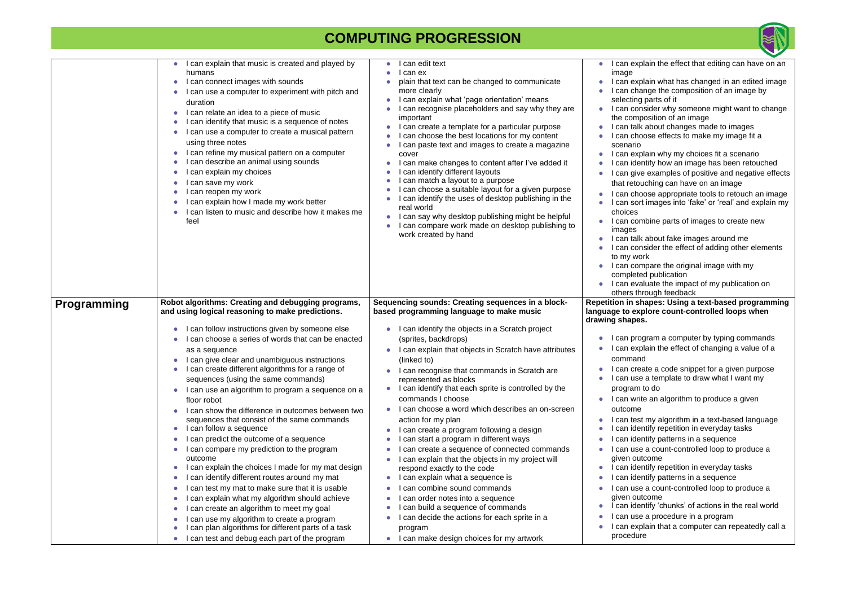|                    | I can explain that music is created and played by<br>humans<br>I can connect images with sounds<br>$\bullet$<br>I can use a computer to experiment with pitch and<br>$\bullet$<br>duration<br>I can relate an idea to a piece of music<br>$\bullet$<br>I can identify that music is a sequence of notes<br>$\bullet$<br>I can use a computer to create a musical pattern<br>$\bullet$<br>using three notes<br>I can refine my musical pattern on a computer<br>$\bullet$<br>I can describe an animal using sounds<br>$\bullet$<br>I can explain my choices<br>$\bullet$<br>I can save my work<br>$\bullet$<br>I can reopen my work<br>$\bullet$<br>I can explain how I made my work better<br>$\bullet$<br>I can listen to music and describe how it makes me<br>feel                                                                                                                                                                                                                                                                                                                                                                                                                                                                                                                                             | can edit text<br>I can ex<br>plain that text can be changed to communicate<br>more clearly<br>I can explain what 'page orientation' means<br>can recognise placeholders and say why they are<br>important<br>I can create a template for a particular purpose<br>I can choose the best locations for my content<br>can paste text and images to create a magazine<br>cover<br>I can make changes to content after I've added it<br>can identify different layouts<br>can match a layout to a purpose<br>can choose a suitable layout for a given purpose<br>I can identify the uses of desktop publishing in the<br>real world<br>I can say why desktop publishing might be helpful<br>$\bullet$<br>I can compare work made on desktop publishing to<br>work created by hand                                                                                                                                                                                                           | I can explain the effect that editing can have on an<br>image<br>I can explain what has changed in an edited image<br>I can change the composition of an image by<br>selecting parts of it<br>I can consider why someone might want to change<br>$\bullet$<br>the composition of an image<br>can talk about changes made to images<br>can choose effects to make my image fit a<br>scenario<br>I can explain why my choices fit a scenario<br>$\bullet$<br>can identify how an image has been retouched<br>can give examples of positive and negative effects<br>that retouching can have on an image<br>I can choose appropriate tools to retouch an image<br>can sort images into 'fake' or 'real' and explain my<br>choices<br>I can combine parts of images to create new<br>images<br>I can talk about fake images around me<br>I can consider the effect of adding other elements<br>to my work<br>I can compare the original image with my<br>$\bullet$<br>completed publication<br>I can evaluate the impact of my publication on<br>others through feedback                                           |
|--------------------|-------------------------------------------------------------------------------------------------------------------------------------------------------------------------------------------------------------------------------------------------------------------------------------------------------------------------------------------------------------------------------------------------------------------------------------------------------------------------------------------------------------------------------------------------------------------------------------------------------------------------------------------------------------------------------------------------------------------------------------------------------------------------------------------------------------------------------------------------------------------------------------------------------------------------------------------------------------------------------------------------------------------------------------------------------------------------------------------------------------------------------------------------------------------------------------------------------------------------------------------------------------------------------------------------------------------|----------------------------------------------------------------------------------------------------------------------------------------------------------------------------------------------------------------------------------------------------------------------------------------------------------------------------------------------------------------------------------------------------------------------------------------------------------------------------------------------------------------------------------------------------------------------------------------------------------------------------------------------------------------------------------------------------------------------------------------------------------------------------------------------------------------------------------------------------------------------------------------------------------------------------------------------------------------------------------------|----------------------------------------------------------------------------------------------------------------------------------------------------------------------------------------------------------------------------------------------------------------------------------------------------------------------------------------------------------------------------------------------------------------------------------------------------------------------------------------------------------------------------------------------------------------------------------------------------------------------------------------------------------------------------------------------------------------------------------------------------------------------------------------------------------------------------------------------------------------------------------------------------------------------------------------------------------------------------------------------------------------------------------------------------------------------------------------------------------------|
| <b>Programming</b> | Robot algorithms: Creating and debugging programs,<br>and using logical reasoning to make predictions.<br>I can follow instructions given by someone else<br>$\bullet$<br>I can choose a series of words that can be enacted<br>$\bullet$<br>as a sequence<br>I can give clear and unambiguous instructions<br>I can create different algorithms for a range of<br>$\bullet$<br>sequences (using the same commands)<br>I can use an algorithm to program a sequence on a<br>$\bullet$<br>floor robot<br>I can show the difference in outcomes between two<br>$\bullet$<br>sequences that consist of the same commands<br>I can follow a sequence<br>$\bullet$<br>I can predict the outcome of a sequence<br>$\bullet$<br>I can compare my prediction to the program<br>$\bullet$<br>outcome<br>I can explain the choices I made for my mat design<br>$\bullet$<br>I can identify different routes around my mat<br>$\bullet$<br>I can test my mat to make sure that it is usable<br>$\bullet$<br>I can explain what my algorithm should achieve<br>$\bullet$<br>I can create an algorithm to meet my goal<br>$\bullet$<br>I can use my algorithm to create a program<br>$\bullet$<br>can plan algorithms for different parts of a task<br>$\bullet$<br>I can test and debug each part of the program<br>$\bullet$ | Sequencing sounds: Creating sequences in a block-<br>based programming language to make music<br>I can identify the objects in a Scratch project<br>(sprites, backdrops)<br>I can explain that objects in Scratch have attributes<br>(linked to)<br>I can recognise that commands in Scratch are<br>$\bullet$<br>represented as blocks<br>I can identify that each sprite is controlled by the<br>commands I choose<br>I can choose a word which describes an on-screen<br>action for my plan<br>I can create a program following a design<br>can start a program in different ways<br>can create a sequence of connected commands<br>can explain that the objects in my project will<br>respond exactly to the code<br>I can explain what a sequence is<br>can combine sound commands<br>I can order notes into a sequence<br>I can build a sequence of commands<br>I can decide the actions for each sprite in a<br>program<br>I can make design choices for my artwork<br>$\bullet$ | Repetition in shapes: Using a text-based programming<br>language to explore count-controlled loops when<br>drawing shapes.<br>I can program a computer by typing commands<br>$\bullet$<br>I can explain the effect of changing a value of a<br>$\bullet$<br>command<br>I can create a code snippet for a given purpose<br>$\bullet$<br>I can use a template to draw what I want my<br>$\bullet$<br>program to do<br>I can write an algorithm to produce a given<br>$\bullet$<br>outcome<br>I can test my algorithm in a text-based language<br>$\bullet$<br>can identify repetition in everyday tasks<br>$\bullet$<br>can identify patterns in a sequence<br>$\bullet$<br>I can use a count-controlled loop to produce a<br>given outcome<br>I can identify repetition in everyday tasks<br>$\bullet$<br>can identify patterns in a sequence<br>٠<br>I can use a count-controlled loop to produce a<br>$\bullet$<br>given outcome<br>I can identify 'chunks' of actions in the real world<br>$\bullet$<br>can use a procedure in a program<br>I can explain that a computer can repeatedly call a<br>procedure |

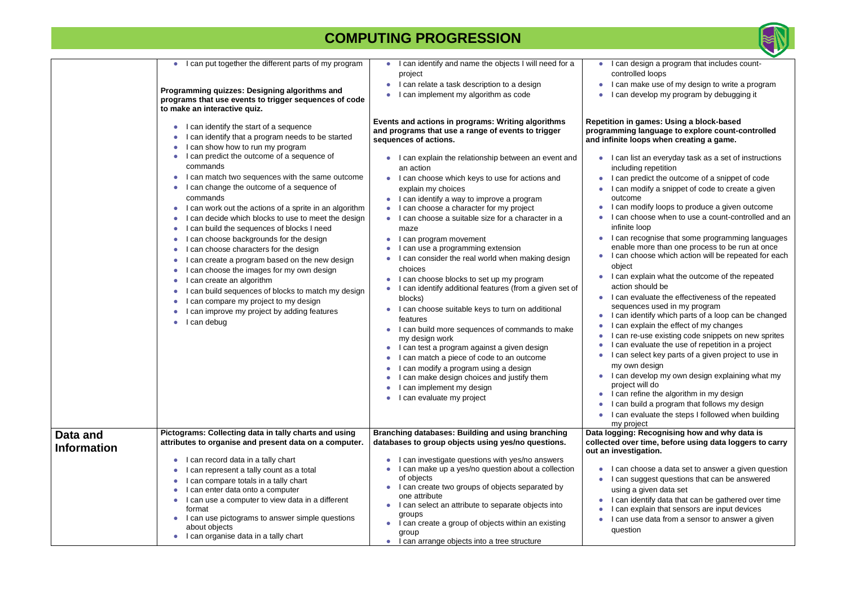#### **Repetition in games: Using a block-based**  language to explore count-controlled **and in proport in Figure.** Apportune a game.

- an everyday task as a set of instructions i repetition
- edict the outcome of a snippet of code odify a snippet of code to create a given
- odify loops to produce a given outcome oose when to use a count-controlled and an opc
- cognise that some programming languages nore than one process to be run at once oose which action will be repeated for each
- plain what the outcome of the repeated hould be
- aluate the effectiveness of the repeated es used in my program
- entify which parts of a loop can be changed plain the effect of my changes
- use existing code snippets on new sprites aluate the use of repetition in a project
- lect key parts of a given project to use in design
- velop my own design explaining what my will do
- ine the algorithm in my design
- ild a program that follows my design
- aluate the steps I followed when building  $ect$
- **Recognising how and why data is** time, before using data loggers to carry **pation.**
- oose a data set to answer a given question ggest questions that can be answered given data set
- entify data that can be gathered over time plain that sensors are input devices
- e data from a sensor to answer a given

|                    | can put together the different parts of my program        | I can identify and name the objects I will need for a<br>$\bullet$                                    | can des                 |
|--------------------|-----------------------------------------------------------|-------------------------------------------------------------------------------------------------------|-------------------------|
|                    |                                                           | project                                                                                               | controlle               |
|                    |                                                           | I can relate a task description to a design                                                           | can ma                  |
|                    | Programming quizzes: Designing algorithms and             | can implement my algorithm as code                                                                    | can dev                 |
|                    | programs that use events to trigger sequences of code     |                                                                                                       |                         |
|                    | to make an interactive quiz.                              |                                                                                                       |                         |
|                    | I can identify the start of a sequence                    | Events and actions in programs: Writing algorithms                                                    | <b>Repetition in ga</b> |
|                    |                                                           | and programs that use a range of events to trigger                                                    | programming la          |
|                    | can identify that a program needs to be started           | sequences of actions.                                                                                 | and infinite loo        |
|                    | I can show how to run my program                          |                                                                                                       |                         |
|                    | I can predict the outcome of a sequence of                | I can explain the relationship between an event and                                                   | I can list              |
|                    | commands                                                  | an action                                                                                             | including               |
|                    | I can match two sequences with the same outcome           | I can choose which keys to use for actions and                                                        | can pre                 |
|                    | I can change the outcome of a sequence of                 | explain my choices                                                                                    | can mo                  |
|                    | commands                                                  | I can identify a way to improve a program                                                             | outcome                 |
|                    | I can work out the actions of a sprite in an algorithm    | can choose a character for my project                                                                 | can mo                  |
|                    | can decide which blocks to use to meet the design         | can choose a suitable size for a character in a                                                       | l can cho               |
|                    | I can build the sequences of blocks I need                | maze                                                                                                  | infinite lo             |
|                    | can choose backgrounds for the design                     | I can program movement                                                                                | I can rec               |
|                    | I can choose characters for the design                    | I can use a programming extension                                                                     | enable m                |
|                    | can create a program based on the new design              | I can consider the real world when making design                                                      | can cho                 |
|                    | can choose the images for my own design                   | choices                                                                                               | object                  |
|                    | I can create an algorithm                                 | I can choose blocks to set up my program                                                              | l can exp               |
|                    | can build sequences of blocks to match my design          | I can identify additional features (from a given set of                                               | action sh               |
|                    | I can compare my project to my design                     | blocks)                                                                                               | l can eva               |
|                    |                                                           | I can choose suitable keys to turn on additional                                                      | sequenc                 |
|                    | can improve my project by adding features                 | features                                                                                              | l can ide               |
|                    | can debug                                                 | I can build more sequences of commands to make                                                        | can exp                 |
|                    |                                                           | my design work                                                                                        | can re-                 |
|                    |                                                           | l can test a program against a given design<br>O                                                      | can eva                 |
|                    |                                                           | can match a piece of code to an outcome                                                               | can sel                 |
|                    |                                                           | can modify a program using a design                                                                   | my own                  |
|                    |                                                           | I can make design choices and justify them                                                            | l can dev               |
|                    |                                                           | I can implement my design                                                                             | project w               |
|                    |                                                           | can evaluate my project<br>٠                                                                          | can refi                |
|                    |                                                           |                                                                                                       | can bui                 |
|                    |                                                           |                                                                                                       | can eva                 |
|                    |                                                           |                                                                                                       | my proje                |
| Data and           | Pictograms: Collecting data in tally charts and using     | <b>Branching databases: Building and using branching</b>                                              | Data logging: F         |
| <b>Information</b> | attributes to organise and present data on a computer.    | databases to group objects using yes/no questions.                                                    | collected over          |
|                    | I can record data in a tally chart                        |                                                                                                       | out an investig         |
|                    |                                                           | I can investigate questions with yes/no answers<br>I can make up a yes/no question about a collection | can cho                 |
|                    | can represent a tally count as a total                    | of objects                                                                                            |                         |
|                    | I can compare totals in a tally chart                     | I can create two groups of objects separated by                                                       | can sug                 |
|                    | I can enter data onto a computer                          | one attribute                                                                                         | using a g               |
|                    | can use a computer to view data in a different            | I can select an attribute to separate objects into                                                    | l can ide               |
|                    | format<br>I can use pictograms to answer simple questions | groups                                                                                                | can exp                 |
|                    | about objects                                             | I can create a group of objects within an existing<br>$\bullet$                                       | can use                 |
|                    | I can organise data in a tally chart                      | group                                                                                                 | question                |
|                    |                                                           | can arrange objects into a tree structure<br>$\bullet$                                                |                         |



- sign a program that includes countd loops
- ake use of my design to write a program velop my program by debugging it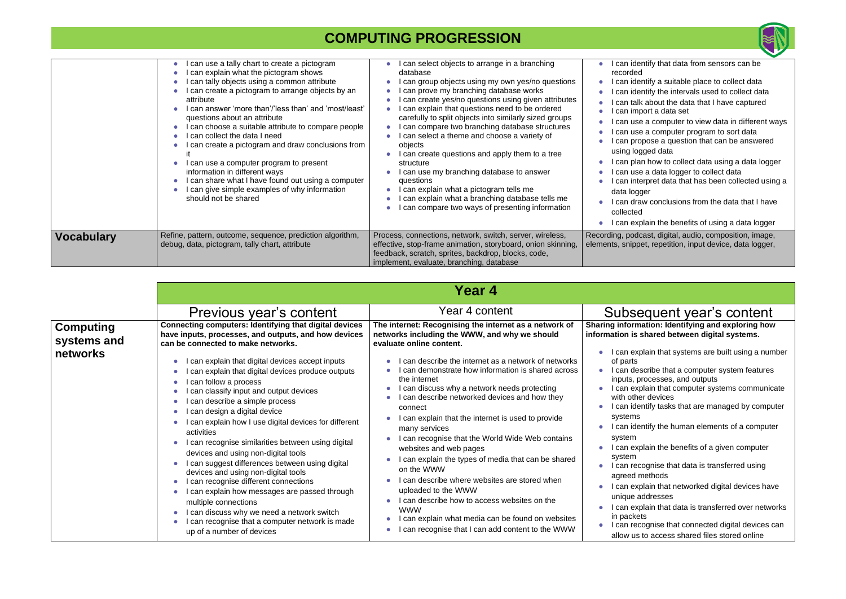|                   | can use a tally chart to create a pictogram<br>can explain what the pictogram shows<br>can tally objects using a common attribute<br>can create a pictogram to arrange objects by an<br>attribute<br>can answer 'more than'/'less than' and 'most/least'<br>questions about an attribute<br>can choose a suitable attribute to compare people<br>can collect the data I need<br>can create a pictogram and draw conclusions from<br>can use a computer program to present<br>information in different ways<br>can share what I have found out using a computer<br>can give simple examples of why information<br>should not be shared | can select objects to arrange in a branching<br>database<br>can group objects using my own yes/no questions<br>can prove my branching database works<br>can create yes/no questions using given attributes<br>can explain that questions need to be ordered<br>carefully to split objects into similarly sized groups<br>can compare two branching database structures<br>can select a theme and choose a variety of<br>objects<br>I can create questions and apply them to a tree<br>structure<br>can use my branching database to answer<br>questions<br>can explain what a pictogram tells me<br>can explain what a branching database tells me<br>can compare two ways of presenting information | can ide<br>recorded<br>can ide<br>can ide<br>can talk<br>can imp<br>can use<br>can use<br>can pro<br>using log<br>l can plai<br>can use<br>can inte<br>data logo<br>can dra<br>collected<br>I can exp |
|-------------------|---------------------------------------------------------------------------------------------------------------------------------------------------------------------------------------------------------------------------------------------------------------------------------------------------------------------------------------------------------------------------------------------------------------------------------------------------------------------------------------------------------------------------------------------------------------------------------------------------------------------------------------|------------------------------------------------------------------------------------------------------------------------------------------------------------------------------------------------------------------------------------------------------------------------------------------------------------------------------------------------------------------------------------------------------------------------------------------------------------------------------------------------------------------------------------------------------------------------------------------------------------------------------------------------------------------------------------------------------|-------------------------------------------------------------------------------------------------------------------------------------------------------------------------------------------------------|
| <b>Vocabulary</b> | Refine, pattern, outcome, sequence, prediction algorithm,<br>debug, data, pictogram, tally chart, attribute                                                                                                                                                                                                                                                                                                                                                                                                                                                                                                                           | Process, connections, network, switch, server, wireless,<br>effective, stop-frame animation, storyboard, onion skinning,<br>feedback, scratch, sprites, backdrop, blocks, code,<br>implement, evaluate, branching, database                                                                                                                                                                                                                                                                                                                                                                                                                                                                          | Recording, podc<br>elements, snipp                                                                                                                                                                    |

| <b>Year 4</b> |  |
|---------------|--|
|---------------|--|

|                                             | Previous year's content                                                                                                                                                                                                                                                                                                                                                                                                                                                                                                                                                                                                                                                                                                                                                  | Year 4 content                                                                                                                                                                                                                                                                                                                                                                                                                                                                                                                                                                                                                                                                                                          | <b>Subse</b>                                                                                                                                                                                                                |
|---------------------------------------------|--------------------------------------------------------------------------------------------------------------------------------------------------------------------------------------------------------------------------------------------------------------------------------------------------------------------------------------------------------------------------------------------------------------------------------------------------------------------------------------------------------------------------------------------------------------------------------------------------------------------------------------------------------------------------------------------------------------------------------------------------------------------------|-------------------------------------------------------------------------------------------------------------------------------------------------------------------------------------------------------------------------------------------------------------------------------------------------------------------------------------------------------------------------------------------------------------------------------------------------------------------------------------------------------------------------------------------------------------------------------------------------------------------------------------------------------------------------------------------------------------------------|-----------------------------------------------------------------------------------------------------------------------------------------------------------------------------------------------------------------------------|
| <b>Computing</b><br>systems and<br>networks | <b>Connecting computers: Identifying that digital devices</b><br>have inputs, processes, and outputs, and how devices<br>can be connected to make networks.<br>can explain that digital devices accept inputs<br>can explain that digital devices produce outputs<br>can follow a process<br>can classify input and output devices<br>can describe a simple process<br>can design a digital device<br>can explain how I use digital devices for different<br>activities<br>can recognise similarities between using digital<br>devices and using non-digital tools<br>can suggest differences between using digital<br>devices and using non-digital tools<br>can recognise different connections<br>can explain how messages are passed through<br>multiple connections | The internet: Recognising the internet as a network of<br>networks including the WWW, and why we should<br>evaluate online content.<br>can describe the internet as a network of networks<br>can demonstrate how information is shared across<br>the internet<br>can discuss why a network needs protecting<br>I can describe networked devices and how they<br>connect<br>I can explain that the internet is used to provide<br>many services<br>I can recognise that the World Wide Web contains<br>websites and web pages<br>I can explain the types of media that can be shared<br>on the WWW<br>can describe where websites are stored when<br>uploaded to the WWW<br>I can describe how to access websites on the | <b>Sharing inform</b><br>information is<br>can exp<br>of parts<br>can de<br>inputs, p<br>can exp<br>with othe<br>can ide<br>systems<br>can ide<br>system<br>can exp<br>system<br>can red<br>agreed r<br>can exp<br>unique a |
|                                             | can discuss why we need a network switch<br>can recognise that a computer network is made<br>up of a number of devices                                                                                                                                                                                                                                                                                                                                                                                                                                                                                                                                                                                                                                                   | <b>WWW</b><br>can explain what media can be found on websites<br>can recognise that I can add content to the WWW                                                                                                                                                                                                                                                                                                                                                                                                                                                                                                                                                                                                        | can ex<br>in packe<br>can red<br>allow us                                                                                                                                                                                   |



- entify that data from sensors can be
- entify a suitable place to collect data entify the intervals used to collect data
- k about the data that I have captured port a data set
- se a computer to view data in different ways se a computer program to sort data
- opose a question that can be answered gged data
- an how to collect data using a data logger e a data logger to collect data
- terpret data that has been collected using a lger
- aw conclusions from the data that I have
- plain the benefits of using a data logger
- cast, digital, audio, composition, image, bet, repetition, input device, data logger,

# equent year's content

**<u>Intering information:</u> Identifying and exploring how** shared between digital systems.

- plain that systems are built using a number
- scribe that a computer system features processes, and outputs
- plain that computer systems communicate er devices
- entify tasks that are managed by computer
- entify the human elements of a computer
- plain the benefits of a given computer
- cognise that data is transferred using methods
- plain that networked digital devices have addresses
- plain that data is transferred over networks ets
- cognise that connected digital devices can to access shared files stored online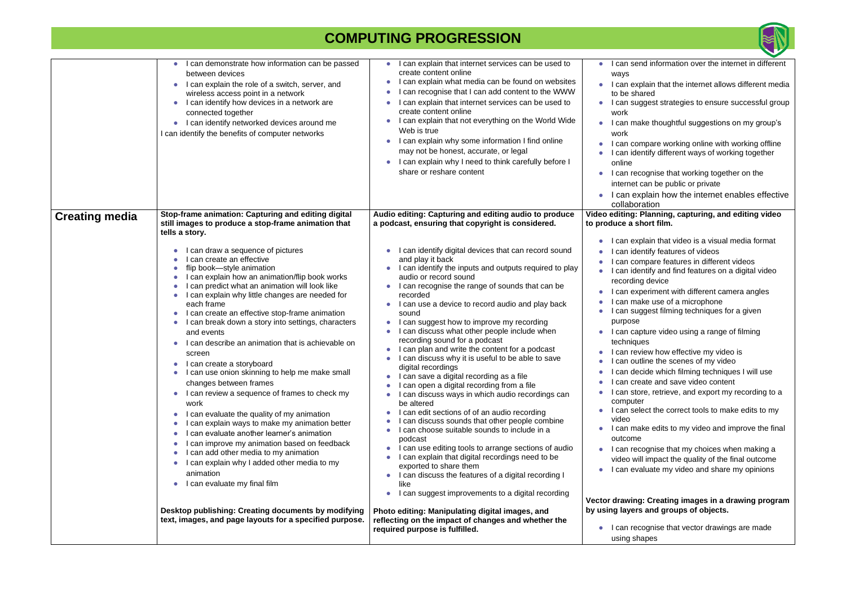|                       | I can demonstrate how information can be passed<br>between devices<br>I can explain the role of a switch, server, and<br>wireless access point in a network<br>I can identify how devices in a network are<br>connected together<br>I can identify networked devices around me<br>I can identify the benefits of computer networks                                                                                                                                                                                                                                                                                                                                                                                                                                                                                                                                                                                                                         | I can explain that internet services can be used to<br>create content online<br>I can explain what media can be found on websites<br>I can recognise that I can add content to the WWW<br>I can explain that internet services can be used to<br>create content online<br>I can explain that not everything on the World Wide<br>Web is true<br>I can explain why some information I find online<br>may not be honest, accurate, or legal<br>I can explain why I need to think carefully before I<br>share or reshare content                                                                                                                                                                                                                                                                                                                                                                                                                                                                                                                                                                                                         | I can s<br>ways<br>I can<br>to be<br>I can s<br>work<br>l can i<br>work<br>l can o<br>I can i<br>online<br>l can ı<br>intern<br>can<br>collab                                                                                                      |
|-----------------------|------------------------------------------------------------------------------------------------------------------------------------------------------------------------------------------------------------------------------------------------------------------------------------------------------------------------------------------------------------------------------------------------------------------------------------------------------------------------------------------------------------------------------------------------------------------------------------------------------------------------------------------------------------------------------------------------------------------------------------------------------------------------------------------------------------------------------------------------------------------------------------------------------------------------------------------------------------|---------------------------------------------------------------------------------------------------------------------------------------------------------------------------------------------------------------------------------------------------------------------------------------------------------------------------------------------------------------------------------------------------------------------------------------------------------------------------------------------------------------------------------------------------------------------------------------------------------------------------------------------------------------------------------------------------------------------------------------------------------------------------------------------------------------------------------------------------------------------------------------------------------------------------------------------------------------------------------------------------------------------------------------------------------------------------------------------------------------------------------------|----------------------------------------------------------------------------------------------------------------------------------------------------------------------------------------------------------------------------------------------------|
| <b>Creating media</b> | Stop-frame animation: Capturing and editing digital<br>still images to produce a stop-frame animation that<br>tells a story.                                                                                                                                                                                                                                                                                                                                                                                                                                                                                                                                                                                                                                                                                                                                                                                                                               | Audio editing: Capturing and editing audio to produce<br>a podcast, ensuring that copyright is considered.                                                                                                                                                                                                                                                                                                                                                                                                                                                                                                                                                                                                                                                                                                                                                                                                                                                                                                                                                                                                                            | Video editing<br>to produce a                                                                                                                                                                                                                      |
|                       | I can draw a sequence of pictures<br>I can create an effective<br>flip book-style animation<br>I can explain how an animation/flip book works<br>I can predict what an animation will look like<br>I can explain why little changes are needed for<br>each frame<br>I can create an effective stop-frame animation<br>I can break down a story into settings, characters<br>and events<br>I can describe an animation that is achievable on<br>screen<br>I can create a storyboard<br>I can use onion skinning to help me make small<br>changes between frames<br>I can review a sequence of frames to check my<br>work<br>I can evaluate the quality of my animation<br>I can explain ways to make my animation better<br>I can evaluate another learner's animation<br>I can improve my animation based on feedback<br>I can add other media to my animation<br>I can explain why I added other media to my<br>animation<br>I can evaluate my final film | I can identify digital devices that can record sound<br>and play it back<br>I can identify the inputs and outputs required to play<br>audio or record sound<br>I can recognise the range of sounds that can be<br>recorded<br>I can use a device to record audio and play back<br>sound<br>I can suggest how to improve my recording<br>I can discuss what other people include when<br>recording sound for a podcast<br>I can plan and write the content for a podcast<br>I can discuss why it is useful to be able to save<br>digital recordings<br>I can save a digital recording as a file<br>I can open a digital recording from a file<br>I can discuss ways in which audio recordings can<br>be altered<br>I can edit sections of of an audio recording<br>I can discuss sounds that other people combine<br>I can choose suitable sounds to include in a<br>podcast<br>I can use editing tools to arrange sections of audio<br>I can explain that digital recordings need to be<br>exported to share them<br>I can discuss the features of a digital recording I<br>like<br>I can suggest improvements to a digital recording | can e<br>can i<br>can o<br>can i<br>record<br>can e<br>can i<br>l can s<br>purpo<br>l can o<br>techni<br>can i<br>can o<br>I can<br>I can<br>I can s<br>comp<br>I can s<br>video<br>I can i<br>outcor<br>l can ı<br>video<br>I can<br>Vector drawi |
|                       | Desktop publishing: Creating documents by modifying<br>text, images, and page layouts for a specified purpose.                                                                                                                                                                                                                                                                                                                                                                                                                                                                                                                                                                                                                                                                                                                                                                                                                                             | Photo editing: Manipulating digital images, and<br>reflecting on the impact of changes and whether the<br>required purpose is fulfilled.                                                                                                                                                                                                                                                                                                                                                                                                                                                                                                                                                                                                                                                                                                                                                                                                                                                                                                                                                                                              | by using lay<br>I can i<br>using                                                                                                                                                                                                                   |



send information over the internet in different

- explain that the internet allows different media shared
- suggest strategies to ensure successful group
- make thoughtful suggestions on my group's
- compare working online with working offline identify different ways of working together
- recognise that working together on the et can be public or private
- explain how the internet enables effective poration
- **Video editing: Planning, capturing, and editing video**  short film.
- explain that video is a visual media format identify features of videos
- compare features in different videos
- identify and find features on a digital video ding device
- experiment with different camera angles make use of a microphone
- suggest filming techniques for a given  $se$
- capture video using a range of filming iques
- review how effective my video is outline the scenes of my video
- decide which filming techniques I will use create and save video content
- store, retrieve, and export my recording to a uter
- select the correct tools to make edits to my
- make edits to my video and improve the final me
- recognise that my choices when making a will impact the quality of the final outcome evaluate my video and share my opinions

#### **Vector drawing: Creating images in a drawing program by using layers and groups of objects.**

recognise that vector drawings are made shapes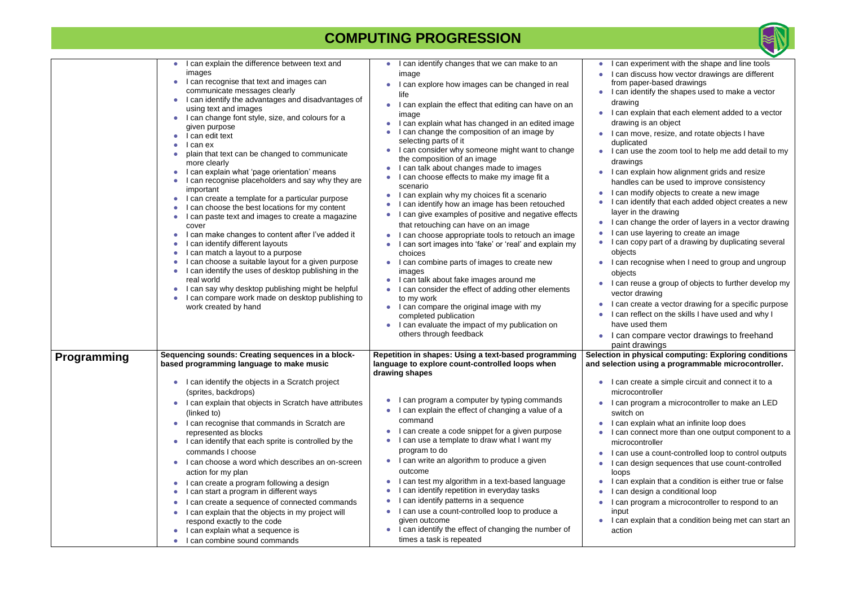|                    | I can explain the difference between text and                                                 | I can identify changes that we can make to an                                                                             | l can ex <sub>l</sub>              |
|--------------------|-----------------------------------------------------------------------------------------------|---------------------------------------------------------------------------------------------------------------------------|------------------------------------|
|                    | images                                                                                        | image                                                                                                                     | can dis                            |
|                    | I can recognise that text and images can<br>communicate messages clearly                      | I can explore how images can be changed in real<br>life                                                                   | from pap<br>I can ide              |
|                    | I can identify the advantages and disadvantages of                                            | can explain the effect that editing can have on an                                                                        | drawing                            |
|                    | using text and images                                                                         | image                                                                                                                     | can ex                             |
|                    | I can change font style, size, and colours for a                                              | I can explain what has changed in an edited image                                                                         | drawing                            |
|                    | given purpose<br>l can edit text                                                              | I can change the composition of an image by                                                                               | l can mo                           |
|                    | l can ex                                                                                      | selecting parts of it                                                                                                     | duplicate                          |
|                    | plain that text can be changed to communicate                                                 | I can consider why someone might want to change                                                                           | I can us                           |
|                    | more clearly                                                                                  | the composition of an image                                                                                               | drawing                            |
|                    | can explain what 'page orientation' means                                                     | I can talk about changes made to images                                                                                   | can ex                             |
|                    | can recognise placeholders and say why they are<br>important                                  | I can choose effects to make my image fit a<br>scenario                                                                   | handles                            |
|                    | I can create a template for a particular purpose                                              | I can explain why my choices fit a scenario                                                                               | can mo<br>can ide                  |
|                    | I can choose the best locations for my content                                                | I can identify how an image has been retouched                                                                            |                                    |
|                    | I can paste text and images to create a magazine<br>cover                                     | can give examples of positive and negative effects<br>О<br>that retouching can have on an image                           | layer in<br>l can ch:              |
|                    | I can make changes to content after I've added it                                             | I can choose appropriate tools to retouch an image                                                                        | can us                             |
|                    | can identify different layouts                                                                | can sort images into 'fake' or 'real' and explain my                                                                      | l can co <sub>l</sub>              |
|                    | can match a layout to a purpose                                                               | choices                                                                                                                   | objects                            |
|                    | can choose a suitable layout for a given purpose                                              | I can combine parts of images to create new                                                                               | can red                            |
|                    | I can identify the uses of desktop publishing in the                                          | images                                                                                                                    | objects                            |
|                    | real world                                                                                    | I can talk about fake images around me                                                                                    | can reu                            |
|                    | I can say why desktop publishing might be helpful                                             | I can consider the effect of adding other elements                                                                        | vector d                           |
|                    | I can compare work made on desktop publishing to                                              | to my work                                                                                                                | can cre                            |
|                    | work created by hand                                                                          | I can compare the original image with my<br>$\bullet$                                                                     | can ref                            |
|                    |                                                                                               | completed publication<br>I can evaluate the impact of my publication on                                                   | have us                            |
|                    |                                                                                               | others through feedback                                                                                                   |                                    |
|                    |                                                                                               |                                                                                                                           | can co                             |
|                    |                                                                                               |                                                                                                                           | paint dr                           |
| <b>Programming</b> | Sequencing sounds: Creating sequences in a block-<br>based programming language to make music | Repetition in shapes: Using a text-based programming<br>language to explore count-controlled loops when<br>drawing shapes | Selection in ph<br>and selection u |
|                    | I can identify the objects in a Scratch project<br>$\bullet$                                  |                                                                                                                           | I can cre<br>$\bullet$             |
|                    | (sprites, backdrops)                                                                          |                                                                                                                           | microcol                           |
|                    | I can explain that objects in Scratch have attributes                                         | can program a computer by typing commands                                                                                 | I can pro                          |
|                    |                                                                                               | I can explain the effect of changing a value of a                                                                         |                                    |
|                    | (linked to)                                                                                   | command                                                                                                                   | switch o                           |
|                    | can recognise that commands in Scratch are                                                    | I can create a code snippet for a given purpose                                                                           | can ex                             |
|                    | represented as blocks<br>I can identify that each sprite is controlled by the<br>$\bullet$    | can use a template to draw what I want my                                                                                 | can cor                            |
|                    | commands I choose                                                                             | program to do                                                                                                             | microcol                           |
|                    |                                                                                               | I can write an algorithm to produce a given<br>$\bullet$                                                                  | can us                             |
|                    | I can choose a word which describes an on-screen                                              | outcome                                                                                                                   | can de                             |
|                    | action for my plan                                                                            |                                                                                                                           | loops                              |
|                    | I can create a program following a design                                                     | I can test my algorithm in a text-based language<br>can identify repetition in everyday tasks                             | can ex                             |
|                    | can start a program in different ways                                                         |                                                                                                                           | can de                             |
|                    | can create a sequence of connected commands<br>О                                              | can identify patterns in a sequence                                                                                       | can pro                            |
|                    | I can explain that the objects in my project will                                             | can use a count-controlled loop to produce a                                                                              | input                              |
|                    | respond exactly to the code                                                                   | given outcome<br>I can identify the effect of changing the number of<br>$\bullet$                                         | I can ex                           |
|                    | I can explain what a sequence is                                                              | times a task is repeated                                                                                                  | action                             |
|                    | I can combine sound commands                                                                  |                                                                                                                           |                                    |



- experiment with the shape and line tools discuss how vector drawings are different paper-based drawings
- identify the shapes used to make a vector
- explain that each element added to a vector ing is an object
- move, resize, and rotate objects I have cated
- use the zoom tool to help me add detail to my ings
- explain how alignment grids and resize lles can be used to improve consistency
- modify objects to create a new image
- identify that each added object creates a new in the drawing
- change the order of layers in a vector drawing use layering to create an image
- copy part of a drawing by duplicating several
- recognise when I need to group and ungroup
- reuse a group of objects to further develop my or drawing
- create a vector drawing for a specific purpose reflect on the skills I have used and why I used them
- compare vector drawings to freehand drawings
- **physical computing: Exploring conditions and using a programmable microcontroller.**
- create a simple circuit and connect it to a bcontroller
- program a microcontroller to make an LED h on
- explain what an infinite loop does
- connect more than one output component to a ocontroller
- use a count-controlled loop to control outputs design sequences that use count-controlled
- explain that a condition is either true or false design a conditional loop
- program a microcontroller to respond to an
- explain that a condition being met can start an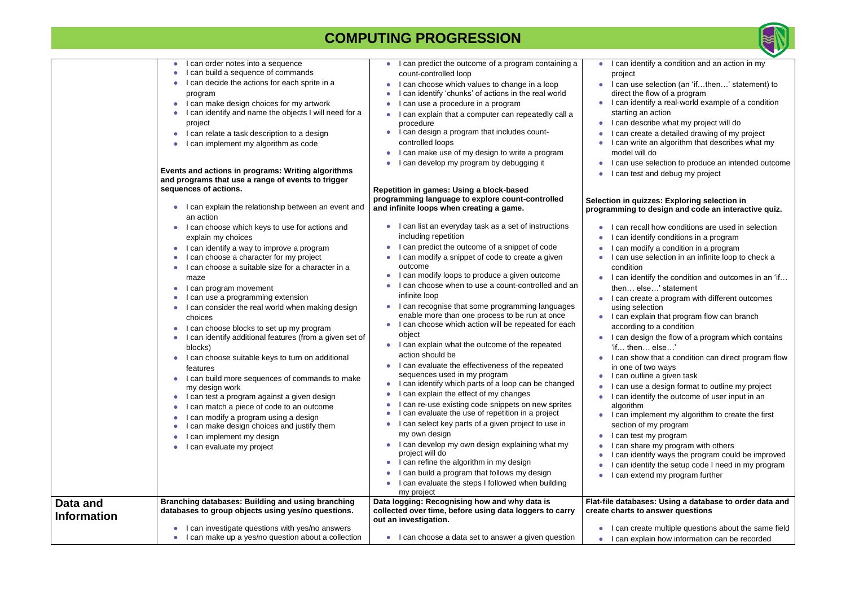#### **Selection in quizzes: Exploring selection in**  to design and code an interactive quiz.

- ecall how conditions are used in selection
- lentify conditions in a program
- odify a condition in a program
- se selection in an infinite loop to check a nc
- lentify the condition and outcomes in an 'if... else…' statement
- reate a program with different outcomes election
- xplain that program flow can branch
- ing to a condition
- esign the flow of a program which contains en… else…'
- how that a condition can direct program flow of two ways
- utline a given task
- se a design format to outline my project
- lentify the outcome of user input in an  $m$
- nplement my algorithm to create the first of my program
- est my program
- hare my program with others
- entify ways the program could be improved entify the setup code I need in my program
- xtend my program further

|                    | I can order notes into a sequence<br>I can build a sequence of commands<br>I can decide the actions for each sprite in a<br>program<br>I can make design choices for my artwork<br>I can identify and name the objects I will need for a<br>project<br>I can relate a task description to a design<br>I can implement my algorithm as code<br>Events and actions in programs: Writing algorithms<br>and programs that use a range of events to trigger<br>sequences of actions.<br>I can explain the relationship between an event and                                                                                                                                                                                                                                                                                                                                               | I can predict the outcome of a program containing a<br>count-controlled loop<br>I can choose which values to change in a loop<br>I can identify 'chunks' of actions in the real world<br>I can use a procedure in a program<br>I can explain that a computer can repeatedly call a<br>procedure<br>I can design a program that includes count-<br>controlled loops<br>I can make use of my design to write a program<br>I can develop my program by debugging it<br>Repetition in games: Using a block-based<br>programming language to explore count-controlled<br>and infinite loops when creating a game.                                                                                                                                                                                                                                                                                                                                                                                                                                                                                                                                                           | I can id<br>project<br>I can us<br>direct th<br>I can id<br>starting<br>l can de<br>l can cr<br>l can wi<br>model v<br>l can us<br>I can te<br>Selection in q<br>programming                                                                                                                     |
|--------------------|--------------------------------------------------------------------------------------------------------------------------------------------------------------------------------------------------------------------------------------------------------------------------------------------------------------------------------------------------------------------------------------------------------------------------------------------------------------------------------------------------------------------------------------------------------------------------------------------------------------------------------------------------------------------------------------------------------------------------------------------------------------------------------------------------------------------------------------------------------------------------------------|------------------------------------------------------------------------------------------------------------------------------------------------------------------------------------------------------------------------------------------------------------------------------------------------------------------------------------------------------------------------------------------------------------------------------------------------------------------------------------------------------------------------------------------------------------------------------------------------------------------------------------------------------------------------------------------------------------------------------------------------------------------------------------------------------------------------------------------------------------------------------------------------------------------------------------------------------------------------------------------------------------------------------------------------------------------------------------------------------------------------------------------------------------------------|--------------------------------------------------------------------------------------------------------------------------------------------------------------------------------------------------------------------------------------------------------------------------------------------------|
|                    | an action<br>I can choose which keys to use for actions and<br>explain my choices<br>I can identify a way to improve a program<br>I can choose a character for my project<br>I can choose a suitable size for a character in a<br>maze<br>I can program movement<br>I can use a programming extension<br>I can consider the real world when making design<br>choices<br>I can choose blocks to set up my program<br>I can identify additional features (from a given set of<br>blocks)<br>I can choose suitable keys to turn on additional<br>features<br>I can build more sequences of commands to make<br>my design work<br>I can test a program against a given design<br>$\bullet$<br>I can match a piece of code to an outcome<br>I can modify a program using a design<br>I can make design choices and justify them<br>I can implement my design<br>I can evaluate my project | I can list an everyday task as a set of instructions<br>including repetition<br>I can predict the outcome of a snippet of code<br>I can modify a snippet of code to create a given<br>outcome<br>I can modify loops to produce a given outcome<br>I can choose when to use a count-controlled and an<br>infinite loop<br>I can recognise that some programming languages<br>enable more than one process to be run at once<br>I can choose which action will be repeated for each<br>object<br>I can explain what the outcome of the repeated<br>action should be<br>I can evaluate the effectiveness of the repeated<br>sequences used in my program<br>I can identify which parts of a loop can be changed<br>can explain the effect of my changes<br>can re-use existing code snippets on new sprites<br>I can evaluate the use of repetition in a project<br>can select key parts of a given project to use in<br>my own design<br>I can develop my own design explaining what my<br>project will do<br>I can refine the algorithm in my design<br>I can build a program that follows my design<br>I can evaluate the steps I followed when building<br>my project | I can re<br>l can id<br>can m<br>can us<br>conditic<br>I can id<br>then<br>I can cr<br>using s<br>I can ex<br>accordi<br>I can de<br>'ifthe<br>I can sh<br>in one o<br>I can ou<br>I can us<br>l can id<br>algorith<br>I can im<br>section<br>l can te<br>can sh<br>can id<br>can id<br>l can ex |
| Data and           | Branching databases: Building and using branching                                                                                                                                                                                                                                                                                                                                                                                                                                                                                                                                                                                                                                                                                                                                                                                                                                    | Data logging: Recognising how and why data is                                                                                                                                                                                                                                                                                                                                                                                                                                                                                                                                                                                                                                                                                                                                                                                                                                                                                                                                                                                                                                                                                                                          | <b>Flat-file datab</b>                                                                                                                                                                                                                                                                           |
|                    | databases to group objects using yes/no questions.                                                                                                                                                                                                                                                                                                                                                                                                                                                                                                                                                                                                                                                                                                                                                                                                                                   | collected over time, before using data loggers to carry                                                                                                                                                                                                                                                                                                                                                                                                                                                                                                                                                                                                                                                                                                                                                                                                                                                                                                                                                                                                                                                                                                                | create charts                                                                                                                                                                                                                                                                                    |
| <b>Information</b> | I can investigate questions with yes/no answers                                                                                                                                                                                                                                                                                                                                                                                                                                                                                                                                                                                                                                                                                                                                                                                                                                      | out an investigation.                                                                                                                                                                                                                                                                                                                                                                                                                                                                                                                                                                                                                                                                                                                                                                                                                                                                                                                                                                                                                                                                                                                                                  | I can cr                                                                                                                                                                                                                                                                                         |
|                    | I can make up a yes/no question about a collection                                                                                                                                                                                                                                                                                                                                                                                                                                                                                                                                                                                                                                                                                                                                                                                                                                   | I can choose a data set to answer a given question                                                                                                                                                                                                                                                                                                                                                                                                                                                                                                                                                                                                                                                                                                                                                                                                                                                                                                                                                                                                                                                                                                                     | I can ex                                                                                                                                                                                                                                                                                         |



entify a condition and an action in my

- se selection (an 'if…then…' statement) to he flow of a program
- lentify a real-world example of a condition an action
- escribe what my project will do
- eate a detailed drawing of my project
- rite an algorithm that describes what my
- will do
- se selection to produce an intended outcome est and debug my project

#### **Rases: Using a database to order data and create charts to answer questions**

eate multiple questions about the same field xplain how information can be recorded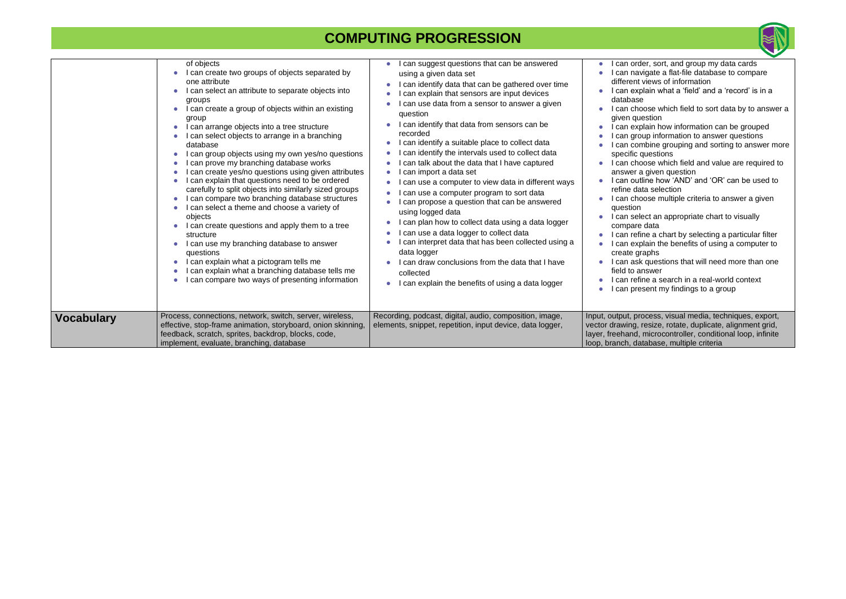|                   | of objects<br>I can create two groups of objects separated by<br>one attribute<br>I can select an attribute to separate objects into<br>groups<br>I can create a group of objects within an existing<br>$\bullet$<br>group<br>I can arrange objects into a tree structure<br>I can select objects to arrange in a branching<br>database<br>I can group objects using my own yes/no questions<br>I can prove my branching database works<br>I can create yes/no questions using given attributes<br>I can explain that questions need to be ordered<br>carefully to split objects into similarly sized groups<br>I can compare two branching database structures<br>I can select a theme and choose a variety of<br>objects<br>I can create questions and apply them to a tree<br>structure<br>I can use my branching database to answer<br>questions<br>I can explain what a pictogram tells me<br>I can explain what a branching database tells me<br>I can compare two ways of presenting information | I can suggest questions that can be answered<br>using a given data set<br>I can identify data that can be gathered over time<br>I can explain that sensors are input devices<br>I can use data from a sensor to answer a given<br>question<br>I can identify that data from sensors can be<br>recorded<br>I can identify a suitable place to collect data<br>$\bullet$<br>I can identify the intervals used to collect data<br>I can talk about the data that I have captured<br>I can import a data set<br>I can use a computer to view data in different ways<br>$\bullet$<br>can use a computer program to sort data<br>I can propose a question that can be answered<br>using logged data<br>I can plan how to collect data using a data logger<br>I can use a data logger to collect data<br>I can interpret data that has been collected using a<br>data logger<br>I can draw conclusions from the data that I have<br>collected<br>I can explain the benefits of using a data logger | I can order, sort, and group my data cards<br>I can navigate a flat-file database to compare<br>different views of information<br>I can explain what a 'field' and a 'record' is in a<br>database<br>I can choose which field to sort data by to answer a<br>given question<br>I can explain how information can be grouped<br>I can group information to answer questions<br>I can combine grouping and sorting to answer more<br>specific questions<br>I can choose which field and value are required to<br>answer a given question<br>I can outline how 'AND' and 'OR' can be used to<br>refine data selection<br>I can choose multiple criteria to answer a given<br>question<br>I can select an appropriate chart to visually<br>compare data<br>I can refine a chart by selecting a particular filter<br>I can explain the benefits of using a computer to<br>create graphs<br>I can ask questions that will need more than one<br>field to answer<br>I can refine a search in a real-world context<br>I can present my findings to a group |
|-------------------|---------------------------------------------------------------------------------------------------------------------------------------------------------------------------------------------------------------------------------------------------------------------------------------------------------------------------------------------------------------------------------------------------------------------------------------------------------------------------------------------------------------------------------------------------------------------------------------------------------------------------------------------------------------------------------------------------------------------------------------------------------------------------------------------------------------------------------------------------------------------------------------------------------------------------------------------------------------------------------------------------------|---------------------------------------------------------------------------------------------------------------------------------------------------------------------------------------------------------------------------------------------------------------------------------------------------------------------------------------------------------------------------------------------------------------------------------------------------------------------------------------------------------------------------------------------------------------------------------------------------------------------------------------------------------------------------------------------------------------------------------------------------------------------------------------------------------------------------------------------------------------------------------------------------------------------------------------------------------------------------------------------|----------------------------------------------------------------------------------------------------------------------------------------------------------------------------------------------------------------------------------------------------------------------------------------------------------------------------------------------------------------------------------------------------------------------------------------------------------------------------------------------------------------------------------------------------------------------------------------------------------------------------------------------------------------------------------------------------------------------------------------------------------------------------------------------------------------------------------------------------------------------------------------------------------------------------------------------------------------------------------------------------------------------------------------------------|
| <b>Vocabulary</b> | Process, connections, network, switch, server, wireless,<br>effective, stop-frame animation, storyboard, onion skinning,<br>feedback, scratch, sprites, backdrop, blocks, code,<br>implement, evaluate, branching, database                                                                                                                                                                                                                                                                                                                                                                                                                                                                                                                                                                                                                                                                                                                                                                             | Recording, podcast, digital, audio, composition, image,<br>elements, snippet, repetition, input device, data logger,                                                                                                                                                                                                                                                                                                                                                                                                                                                                                                                                                                                                                                                                                                                                                                                                                                                                        | Input, output, process, visual media, techniques, export,<br>vector drawing, resize, rotate, duplicate, alignment grid,<br>layer, freehand, microcontroller, conditional loop, infinite<br>loop, branch, database, multiple criteria                                                                                                                                                                                                                                                                                                                                                                                                                                                                                                                                                                                                                                                                                                                                                                                                               |

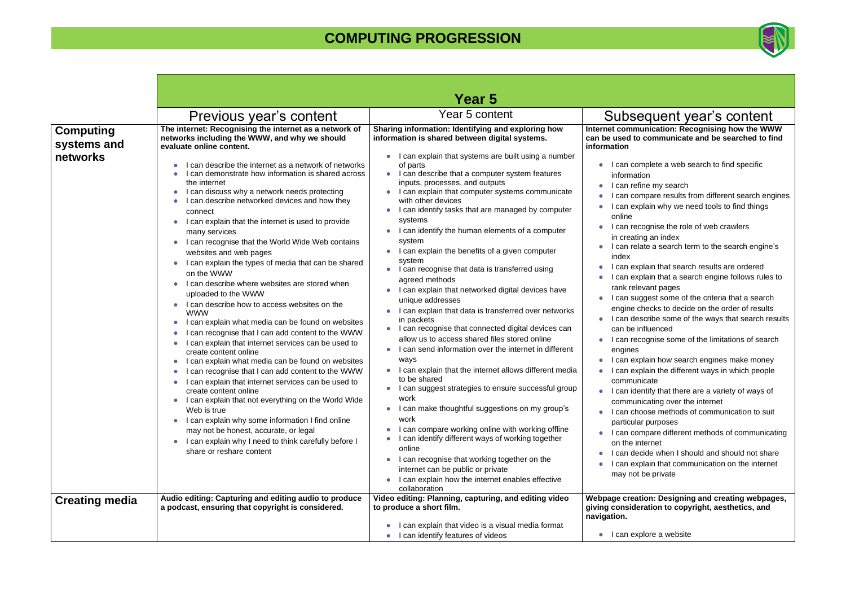|                                             |                                                                                                                                                                                                                                                                                                                                                                                                                                                                                                                                                                                                                                                                                                                                                                                                                                                                                                                                                                                                                                                                                                                                                                                                                                                                                                                                                                                                                                                                                                                                                                                                                              | Year 5                                                                                                                                                                                                                                                                                                                                                                                                                                                                                                                                                                                                                                                                                                                                                                                                                                                                                                                                                                                                                                                                                                                                                                                                                                                                                                                                                                                                                                                                                                             |                                                                                                                                                                                                                                                                                                                                                                                                                                                                                                                                                                                                                                                                                                                                                                                                                                                                                                                                                                                                                                                                                                                                                                                                                                                                                                                                                                                                                |
|---------------------------------------------|------------------------------------------------------------------------------------------------------------------------------------------------------------------------------------------------------------------------------------------------------------------------------------------------------------------------------------------------------------------------------------------------------------------------------------------------------------------------------------------------------------------------------------------------------------------------------------------------------------------------------------------------------------------------------------------------------------------------------------------------------------------------------------------------------------------------------------------------------------------------------------------------------------------------------------------------------------------------------------------------------------------------------------------------------------------------------------------------------------------------------------------------------------------------------------------------------------------------------------------------------------------------------------------------------------------------------------------------------------------------------------------------------------------------------------------------------------------------------------------------------------------------------------------------------------------------------------------------------------------------------|--------------------------------------------------------------------------------------------------------------------------------------------------------------------------------------------------------------------------------------------------------------------------------------------------------------------------------------------------------------------------------------------------------------------------------------------------------------------------------------------------------------------------------------------------------------------------------------------------------------------------------------------------------------------------------------------------------------------------------------------------------------------------------------------------------------------------------------------------------------------------------------------------------------------------------------------------------------------------------------------------------------------------------------------------------------------------------------------------------------------------------------------------------------------------------------------------------------------------------------------------------------------------------------------------------------------------------------------------------------------------------------------------------------------------------------------------------------------------------------------------------------------|----------------------------------------------------------------------------------------------------------------------------------------------------------------------------------------------------------------------------------------------------------------------------------------------------------------------------------------------------------------------------------------------------------------------------------------------------------------------------------------------------------------------------------------------------------------------------------------------------------------------------------------------------------------------------------------------------------------------------------------------------------------------------------------------------------------------------------------------------------------------------------------------------------------------------------------------------------------------------------------------------------------------------------------------------------------------------------------------------------------------------------------------------------------------------------------------------------------------------------------------------------------------------------------------------------------------------------------------------------------------------------------------------------------|
|                                             | Previous year's content                                                                                                                                                                                                                                                                                                                                                                                                                                                                                                                                                                                                                                                                                                                                                                                                                                                                                                                                                                                                                                                                                                                                                                                                                                                                                                                                                                                                                                                                                                                                                                                                      | Year 5 content                                                                                                                                                                                                                                                                                                                                                                                                                                                                                                                                                                                                                                                                                                                                                                                                                                                                                                                                                                                                                                                                                                                                                                                                                                                                                                                                                                                                                                                                                                     | Subsequent year's content                                                                                                                                                                                                                                                                                                                                                                                                                                                                                                                                                                                                                                                                                                                                                                                                                                                                                                                                                                                                                                                                                                                                                                                                                                                                                                                                                                                      |
| <b>Computing</b><br>systems and<br>networks | The internet: Recognising the internet as a network of<br>networks including the WWW, and why we should<br>evaluate online content.<br>I can describe the internet as a network of networks<br>I can demonstrate how information is shared across<br>the internet<br>I can discuss why a network needs protecting<br>$\bullet$<br>I can describe networked devices and how they<br>$\bullet$<br>connect<br>I can explain that the internet is used to provide<br>$\bullet$<br>many services<br>I can recognise that the World Wide Web contains<br>$\bullet$<br>websites and web pages<br>I can explain the types of media that can be shared<br>$\bullet$<br>on the WWW<br>I can describe where websites are stored when<br>uploaded to the WWW<br>I can describe how to access websites on the<br>$\bullet$<br><b>WWW</b><br>I can explain what media can be found on websites<br>$\bullet$<br>I can recognise that I can add content to the WWW<br>$\bullet$<br>I can explain that internet services can be used to<br>$\bullet$<br>create content online<br>I can explain what media can be found on websites<br>$\bullet$<br>I can recognise that I can add content to the WWW<br>$\bullet$<br>I can explain that internet services can be used to<br>create content online<br>• I can explain that not everything on the World Wide<br>Web is true<br>I can explain why some information I find online<br>$\bullet$<br>may not be honest, accurate, or legal<br>I can explain why I need to think carefully before I<br>$\bullet$<br>share or reshare content<br>Audio editing: Capturing and editing audio to produce | Sharing information: Identifying and exploring how<br>information is shared between digital systems.<br>I can explain that systems are built using a number<br>of parts<br>• I can describe that a computer system features<br>inputs, processes, and outputs<br>• I can explain that computer systems communicate<br>with other devices<br>I can identify tasks that are managed by computer<br>systems<br>I can identify the human elements of a computer<br>system<br>I can explain the benefits of a given computer<br>system<br>• I can recognise that data is transferred using<br>agreed methods<br>I can explain that networked digital devices have<br>unique addresses<br>I can explain that data is transferred over networks<br>in packets<br>I can recognise that connected digital devices can<br>$\bullet$<br>allow us to access shared files stored online<br>I can send information over the internet in different<br>ways<br>I can explain that the internet allows different media<br>to be shared<br>• I can suggest strategies to ensure successful group<br>work<br>I can make thoughtful suggestions on my group's<br>$\bullet$<br>work<br>I can compare working online with working offline<br>I can identify different ways of working together<br>online<br>I can recognise that working together on the<br>$\bullet$<br>internet can be public or private<br>I can explain how the internet enables effective<br>collaboration<br>Video editing: Planning, capturing, and editing video | Internet communication: Recognising how the WWW<br>can be used to communicate and be searched to find<br>information<br>I can complete a web search to find specific<br>information<br>I can refine my search<br>I can compare results from different search engines<br>I can explain why we need tools to find things<br>online<br>I can recognise the role of web crawlers<br>in creating an index<br>I can relate a search term to the search engine's<br>index<br>I can explain that search results are ordered<br>I can explain that a search engine follows rules to<br>rank relevant pages<br>I can suggest some of the criteria that a search<br>engine checks to decide on the order of results<br>I can describe some of the ways that search results<br>can be influenced<br>I can recognise some of the limitations of search<br>engines<br>I can explain how search engines make money<br>I can explain the different ways in which people<br>$\bullet$<br>communicate<br>I can identify that there are a variety of ways of<br>communicating over the internet<br>I can choose methods of communication to suit<br>particular purposes<br>I can compare different methods of communicating<br>on the internet<br>I can decide when I should and should not share<br>I can explain that communication on the internet<br>may not be private<br>Webpage creation: Designing and creating webpages, |
| <b>Creating media</b>                       | a podcast, ensuring that copyright is considered.                                                                                                                                                                                                                                                                                                                                                                                                                                                                                                                                                                                                                                                                                                                                                                                                                                                                                                                                                                                                                                                                                                                                                                                                                                                                                                                                                                                                                                                                                                                                                                            | to produce a short film.                                                                                                                                                                                                                                                                                                                                                                                                                                                                                                                                                                                                                                                                                                                                                                                                                                                                                                                                                                                                                                                                                                                                                                                                                                                                                                                                                                                                                                                                                           | giving consideration to copyright, aesthetics, and                                                                                                                                                                                                                                                                                                                                                                                                                                                                                                                                                                                                                                                                                                                                                                                                                                                                                                                                                                                                                                                                                                                                                                                                                                                                                                                                                             |
|                                             |                                                                                                                                                                                                                                                                                                                                                                                                                                                                                                                                                                                                                                                                                                                                                                                                                                                                                                                                                                                                                                                                                                                                                                                                                                                                                                                                                                                                                                                                                                                                                                                                                              | I can explain that video is a visual media format                                                                                                                                                                                                                                                                                                                                                                                                                                                                                                                                                                                                                                                                                                                                                                                                                                                                                                                                                                                                                                                                                                                                                                                                                                                                                                                                                                                                                                                                  | navigation.                                                                                                                                                                                                                                                                                                                                                                                                                                                                                                                                                                                                                                                                                                                                                                                                                                                                                                                                                                                                                                                                                                                                                                                                                                                                                                                                                                                                    |
|                                             |                                                                                                                                                                                                                                                                                                                                                                                                                                                                                                                                                                                                                                                                                                                                                                                                                                                                                                                                                                                                                                                                                                                                                                                                                                                                                                                                                                                                                                                                                                                                                                                                                              | • I can identify features of videos                                                                                                                                                                                                                                                                                                                                                                                                                                                                                                                                                                                                                                                                                                                                                                                                                                                                                                                                                                                                                                                                                                                                                                                                                                                                                                                                                                                                                                                                                | $\bullet$ I can explore a website                                                                                                                                                                                                                                                                                                                                                                                                                                                                                                                                                                                                                                                                                                                                                                                                                                                                                                                                                                                                                                                                                                                                                                                                                                                                                                                                                                              |

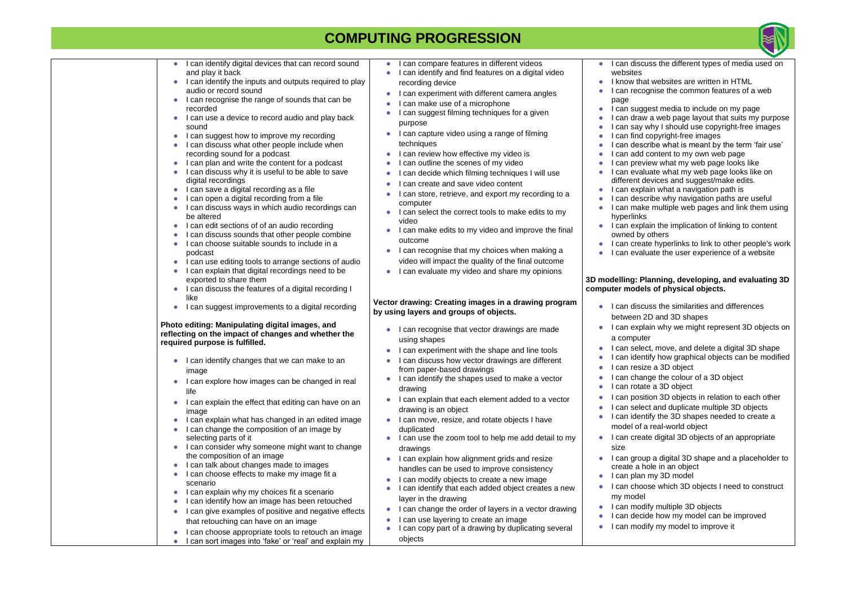| $\bullet$              | I can identify digital devices that can record sound                                                         | $\bullet$ | I can compare features in different videos                                                   |
|------------------------|--------------------------------------------------------------------------------------------------------------|-----------|----------------------------------------------------------------------------------------------|
|                        | and play it back                                                                                             |           | I can identify and find features on a digital video                                          |
|                        | I can identify the inputs and outputs required to play                                                       |           | recording device                                                                             |
|                        | audio or record sound                                                                                        |           | I can experiment with different camera angles                                                |
| $\bullet$              | I can recognise the range of sounds that can be                                                              |           | I can make use of a microphone                                                               |
|                        | recorded                                                                                                     |           | I can suggest filming techniques for a given                                                 |
| $\bullet$              | I can use a device to record audio and play back                                                             |           | purpose                                                                                      |
|                        | sound                                                                                                        |           | I can capture video using a range of filming                                                 |
| $\bullet$              | I can suggest how to improve my recording                                                                    |           |                                                                                              |
|                        | I can discuss what other people include when                                                                 |           | techniques                                                                                   |
|                        | recording sound for a podcast                                                                                |           | I can review how effective my video is                                                       |
| $\bullet$              | I can plan and write the content for a podcast                                                               |           | I can outline the scenes of my video                                                         |
|                        | I can discuss why it is useful to be able to save                                                            |           | I can decide which filming techniques I will use                                             |
|                        | digital recordings<br>I can save a digital recording as a file                                               |           | I can create and save video content                                                          |
| $\bullet$              | I can open a digital recording from a file                                                                   |           | I can store, retrieve, and export my recording to a                                          |
|                        | I can discuss ways in which audio recordings can                                                             |           | computer                                                                                     |
|                        | be altered                                                                                                   |           | I can select the correct tools to make edits to my                                           |
| $\bullet$              | I can edit sections of of an audio recording                                                                 |           | video                                                                                        |
|                        | I can discuss sounds that other people combine                                                               |           | I can make edits to my video and improve the final                                           |
|                        | I can choose suitable sounds to include in a                                                                 |           | outcome                                                                                      |
|                        | podcast                                                                                                      |           | I can recognise that my choices when making a                                                |
| $\bullet$              | I can use editing tools to arrange sections of audio                                                         |           | video will impact the quality of the final outcome                                           |
| $\bullet$              | I can explain that digital recordings need to be                                                             |           | I can evaluate my video and share my opinions                                                |
|                        | exported to share them                                                                                       |           |                                                                                              |
|                        | I can discuss the features of a digital recording I                                                          |           |                                                                                              |
|                        | like                                                                                                         |           | Vector drawing: Creating images in a drawing program                                         |
|                        | I can suggest improvements to a digital recording                                                            |           | by using layers and groups of objects.                                                       |
|                        |                                                                                                              |           |                                                                                              |
|                        | Photo editing: Manipulating digital images, and                                                              |           | I can recognise that vector drawings are made                                                |
|                        | reflecting on the impact of changes and whether the                                                          |           | using shapes                                                                                 |
|                        | required purpose is fulfilled.                                                                               |           | I can experiment with the shape and line tools                                               |
|                        |                                                                                                              |           | I can discuss how vector drawings are different                                              |
|                        | I can identify changes that we can make to an                                                                |           | from paper-based drawings                                                                    |
|                        | image                                                                                                        |           | I can identify the shapes used to make a vector                                              |
| $\bullet$              | I can explore how images can be changed in real                                                              |           | drawing                                                                                      |
|                        | life                                                                                                         |           |                                                                                              |
|                        | I can explain the effect that editing can have on an                                                         |           | I can explain that each element added to a vector                                            |
|                        | image                                                                                                        |           | drawing is an object                                                                         |
|                        | I can explain what has changed in an edited image                                                            |           | I can move, resize, and rotate objects I have                                                |
|                        | I can change the composition of an image by                                                                  |           | duplicated                                                                                   |
|                        | selecting parts of it                                                                                        |           | I can use the zoom tool to help me add detail to my                                          |
|                        | I can consider why someone might want to change<br>the composition of an image                               |           | drawings                                                                                     |
|                        | I can talk about changes made to images                                                                      |           | I can explain how alignment grids and resize                                                 |
| $\bullet$<br>$\bullet$ | I can choose effects to make my image fit a                                                                  |           | handles can be used to improve consistency                                                   |
|                        | scenario                                                                                                     |           | I can modify objects to create a new image                                                   |
| $\bullet$              | I can explain why my choices fit a scenario                                                                  |           | I can identify that each added object creates a new                                          |
|                        | I can identify how an image has been retouched                                                               |           | layer in the drawing                                                                         |
| $\bullet$              | I can give examples of positive and negative effects                                                         |           | I can change the order of layers in a vector drawing                                         |
|                        |                                                                                                              |           |                                                                                              |
|                        |                                                                                                              |           |                                                                                              |
|                        | that retouching can have on an image                                                                         |           | I can use layering to create an image<br>I can copy part of a drawing by duplicating several |
|                        | I can choose appropriate tools to retouch an image<br>I can sort images into 'fake' or 'real' and explain my |           | objects                                                                                      |

- 
- pe and line tools
- vings are different
- to make a vector
- nt added to a vector
- objects I have
- Ip me add detail to my
- **i** rids and resize we consistency
- a new image
- object creates a new
- ers in a vector drawing
- n image
	- y duplicating several objects
- awings are made
- 

- 
- 
- 
- 
- 
- 
- 
- 
- 
- 
- 
- 
- 
- 
- 
- 
- 
- 
- 
- 



● I can discuss the different types of media used on

I know that websites are written in HTML ● I can recognise the common features of a web

● I can suggest media to include on my page ● I can draw a web page layout that suits my purpose ● I can say why I should use copyright-free images ● I can find copyright-free images

● I can describe what is meant by the term 'fair use' ● I can add content to my own web page

● I can preview what my web page looks like

● I can evaluate what my web page looks like on

● I can explain the implication of linking to content owned by others

● I can create hyperlinks to link to other people's work ● I can evaluate the user experience of a website

● I can discuss the similarities and differences

● I can identify the 3D shapes needed to create a model of a real-world object

● I can create digital 3D objects of an appropriate

● I can group a digital 3D shape and a placeholder to create a hole in an object

● I can plan my 3D model

● I can choose which 3D objects I need to construct

● I can modify multiple 3D objects

● I can decide how my model can be improved

● I can modify my model to improve it

- 
- websites
- page
- 
- 
- 
- 
- 
- 
- 
- 
- hyperlinks
- 
- 
- 

different devices and suggest/make edits.

● I can explain what a navigation path is

● I can describe why navigation paths are useful

● I can make multiple web pages and link them using

#### **3D modelling: Planning, developing, and evaluating 3D computer models of physical objects.**

between 2D and 3D shapes

● I can explain why we might represent 3D objects on

● I can select, move, and delete a digital 3D shape

I can identify how graphical objects can be modified ● I can resize a 3D object

● I can change the colour of a 3D object

● I can rotate a 3D object

● I can position 3D objects in relation to each other

● I can select and duplicate multiple 3D objects

- 
- a computer
- 
- 
- 
- 
- 
- size
- 
- 
- -
	-
- - -
		-
	- -
		- my model
			-
			-
			-
- - -
		-
		-
		- -
			-
			-
			-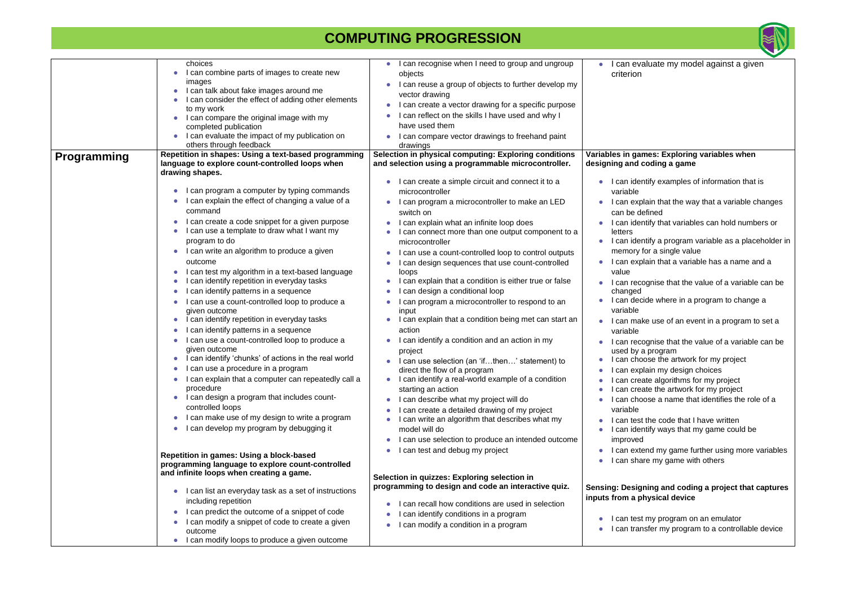#### **Variables in games: Exploring variables when d** coding a game

lentify examples of information that is

- xplain that the way that a variable changes defined
- dentify that variables can hold numbers or
- lentify a program variable as a placeholder in ry for a single value
- xplain that a variable has a name and a
- ecognise that the value of a variable can be changed
- lecide where in a program to change a
- ake use of an event in a program to set a
- ecognise that the value of a variable can be y a program
- hoose the artwork for my project
- xplain my design choices
- reate algorithms for my project
- reate the artwork for my project
- hoose a name that identifies the role of a
- est the code that I have written dentify ways that my game could be ed
- xtend my game further using more variables hare my game with others

|                    | choices                                                                                      | I can recognise when I need to group and ungroup       | can ev                |
|--------------------|----------------------------------------------------------------------------------------------|--------------------------------------------------------|-----------------------|
|                    | I can combine parts of images to create new                                                  | objects                                                | criterior             |
|                    | images                                                                                       | I can reuse a group of objects to further develop my   |                       |
|                    | I can talk about fake images around me                                                       | vector drawing                                         |                       |
|                    | I can consider the effect of adding other elements                                           | I can create a vector drawing for a specific purpose   |                       |
|                    | to my work<br>I can compare the original image with my                                       | I can reflect on the skills I have used and why I      |                       |
|                    | completed publication                                                                        | have used them                                         |                       |
|                    | I can evaluate the impact of my publication on                                               | I can compare vector drawings to freehand paint        |                       |
|                    | others through feedback                                                                      | drawings                                               |                       |
|                    | Repetition in shapes: Using a text-based programming                                         | Selection in physical computing: Exploring conditions  | Variables in ga       |
| <b>Programming</b> | language to explore count-controlled loops when                                              | and selection using a programmable microcontroller.    | designing and         |
|                    | drawing shapes.                                                                              |                                                        |                       |
|                    |                                                                                              | I can create a simple circuit and connect it to a      | I can ide             |
|                    | I can program a computer by typing commands                                                  | microcontroller                                        | variable              |
|                    | can explain the effect of changing a value of a                                              | I can program a microcontroller to make an LED         | I can ex              |
|                    | command                                                                                      | switch on                                              | can be c              |
|                    | I can create a code snippet for a given purpose                                              | I can explain what an infinite loop does               | can ide               |
|                    | I can use a template to draw what I want my                                                  | I can connect more than one output component to a      | letters               |
|                    | program to do                                                                                | microcontroller                                        | I can ide             |
|                    | I can write an algorithm to produce a given                                                  | can use a count-controlled loop to control outputs     | memory                |
|                    | outcome                                                                                      | can design sequences that use count-controlled         | I can ex              |
|                    | I can test my algorithm in a text-based language                                             | loops                                                  | value                 |
|                    | can identify repetition in everyday tasks                                                    | I can explain that a condition is either true or false | can red               |
|                    | can identify patterns in a sequence                                                          | can design a conditional loop                          | changed               |
|                    | can use a count-controlled loop to produce a                                                 | I can program a microcontroller to respond to an       | I can de              |
|                    | given outcome                                                                                | input                                                  | variable              |
|                    | can identify repetition in everyday tasks<br>0                                               | I can explain that a condition being met can start an  | I can ma              |
|                    | can identify patterns in a sequence                                                          | action                                                 | variable              |
|                    | can use a count-controlled loop to produce a                                                 | I can identify a condition and an action in my         | can red               |
|                    | given outcome                                                                                | project                                                | used by               |
|                    | can identify 'chunks' of actions in the real world<br>0                                      | I can use selection (an 'ifthen' statement) to         | l can ch              |
|                    | I can use a procedure in a program                                                           | direct the flow of a program                           | I can ex              |
|                    | I can explain that a computer can repeatedly call a                                          | I can identify a real-world example of a condition     | can cre               |
|                    | procedure                                                                                    | starting an action                                     | can cre               |
|                    | I can design a program that includes count-                                                  | I can describe what my project will do                 | l can ch              |
|                    | controlled loops                                                                             | can create a detailed drawing of my project            | variable              |
|                    | I can make use of my design to write a program                                               | I can write an algorithm that describes what my        | can tes               |
|                    | I can develop my program by debugging it<br>0                                                | model will do                                          | can ide               |
|                    |                                                                                              | can use selection to produce an intended outcome<br>0  | improve               |
|                    |                                                                                              | I can test and debug my project                        | I can ext             |
|                    | Repetition in games: Using a block-based<br>programming language to explore count-controlled |                                                        | I can sha             |
|                    | and infinite loops when creating a game.                                                     |                                                        |                       |
|                    |                                                                                              | Selection in quizzes: Exploring selection in           |                       |
|                    | I can list an everyday task as a set of instructions                                         | programming to design and code an interactive quiz.    | <b>Sensing: Desig</b> |
|                    | including repetition                                                                         | can recall how conditions are used in selection        | inputs from a p       |
|                    | I can predict the outcome of a snippet of code                                               |                                                        |                       |
|                    | I can modify a snippet of code to create a given                                             | can identify conditions in a program                   | l can tes             |
|                    | outcome                                                                                      | can modify a condition in a program                    | I can tra             |
|                    | I can modify loops to produce a given outcome                                                |                                                        |                       |



evaluate my model against a given m.

#### **Sensing: Designing and coding a project that captures physical device**

est my program on an emulator ansfer my program to a controllable device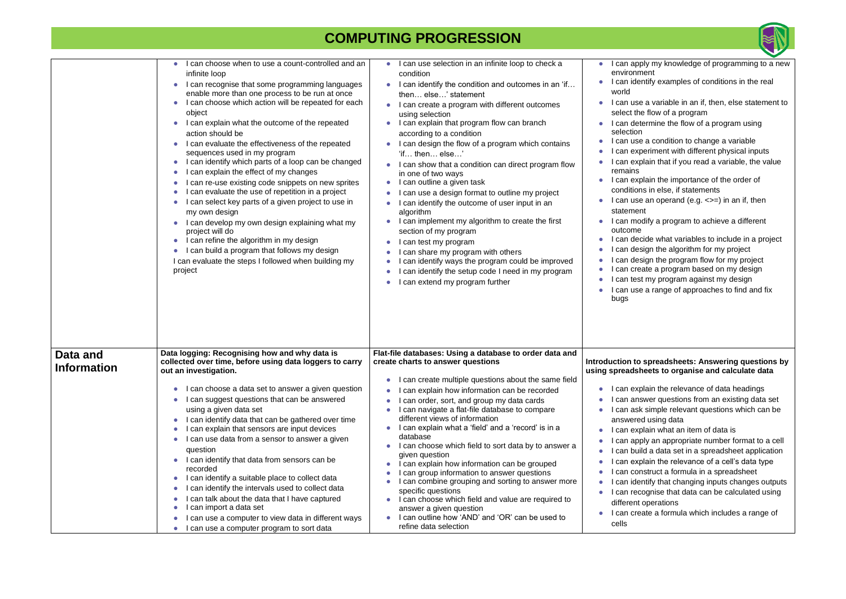#### **Interest Spreadsheets: Answering questions by using spreadsheets to organise and calculate data**

plain the relevance of data headings swer questions from an existing data set k simple relevant questions which can be

- ad using data
- plain what an item of data is
- ply an appropriate number format to a cell ild a data set in a spreadsheet application plain the relevance of a cell's data type nstruct a formula in a spreadsheet
- entify that changing inputs changes outputs cognise that data can be calculated using operations
- eate a formula which includes a range of

|                                | can choose when to use a count-controlled and an<br>infinite loop<br>I can recognise that some programming languages<br>enable more than one process to be run at once<br>can choose which action will be repeated for each<br>object<br>I can explain what the outcome of the repeated<br>action should be<br>I can evaluate the effectiveness of the repeated<br>sequences used in my program<br>I can identify which parts of a loop can be changed<br>I can explain the effect of my changes<br>I can re-use existing code snippets on new sprites<br>can evaluate the use of repetition in a project<br>can select key parts of a given project to use in<br>my own design<br>I can develop my own design explaining what my<br>project will do<br>I can refine the algorithm in my design<br>I can build a program that follows my design<br>I can evaluate the steps I followed when building my<br>project | I can use selection in an infinite loop to check a<br>٠<br>condition<br>I can identify the condition and outcomes in an 'if<br>then else' statement<br>I can create a program with different outcomes<br>using selection<br>I can explain that program flow can branch<br>according to a condition<br>I can design the flow of a program which contains<br>'if then else'<br>I can show that a condition can direct program flow<br>in one of two ways<br>I can outline a given task<br>$\bullet$<br>can use a design format to outline my project<br>can identify the outcome of user input in an<br>algorithm<br>can implement my algorithm to create the first<br>section of my program<br>I can test my program<br>can share my program with others<br>can identify ways the program could be improved<br>can identify the setup code I need in my program<br>can extend my program further | can app<br>environm<br>I can ide<br>world<br>can use<br>select the<br>I can det<br>selection<br>I can use<br>can exp<br>can exp<br>remains<br>l can exp<br>condition<br>I can use<br>statemer<br>can mo<br>outcome<br>l can dec<br>can des<br>can des<br>can cre<br>can test<br>l can use<br>bugs |
|--------------------------------|--------------------------------------------------------------------------------------------------------------------------------------------------------------------------------------------------------------------------------------------------------------------------------------------------------------------------------------------------------------------------------------------------------------------------------------------------------------------------------------------------------------------------------------------------------------------------------------------------------------------------------------------------------------------------------------------------------------------------------------------------------------------------------------------------------------------------------------------------------------------------------------------------------------------|-------------------------------------------------------------------------------------------------------------------------------------------------------------------------------------------------------------------------------------------------------------------------------------------------------------------------------------------------------------------------------------------------------------------------------------------------------------------------------------------------------------------------------------------------------------------------------------------------------------------------------------------------------------------------------------------------------------------------------------------------------------------------------------------------------------------------------------------------------------------------------------------------|---------------------------------------------------------------------------------------------------------------------------------------------------------------------------------------------------------------------------------------------------------------------------------------------------|
| Data and<br><b>Information</b> | Data logging: Recognising how and why data is<br>collected over time, before using data loggers to carry<br>out an investigation.<br>can choose a data set to answer a given question<br>I can suggest questions that can be answered<br>using a given data set<br>I can identify data that can be gathered over time<br>I can explain that sensors are input devices<br>I can use data from a sensor to answer a given<br>question<br>I can identify that data from sensors can be<br>recorded<br>can identify a suitable place to collect data<br>can identify the intervals used to collect data<br>I can talk about the data that I have captured<br>can import a data set<br>can use a computer to view data in different ways                                                                                                                                                                                | Flat-file databases: Using a database to order data and<br>create charts to answer questions<br>I can create multiple questions about the same field<br>$\bullet$<br>can explain how information can be recorded<br>can order, sort, and group my data cards<br>can navigate a flat-file database to compare<br>different views of information<br>I can explain what a 'field' and a 'record' is in a<br>database<br>I can choose which field to sort data by to answer a<br>given question<br>I can explain how information can be grouped<br>$\bullet$<br>can group information to answer questions<br>can combine grouping and sorting to answer more<br>0<br>specific questions<br>I can choose which field and value are required to<br>$\bullet$<br>answer a given question<br>I can outline how 'AND' and 'OR' can be used to<br>refine data selection                                   | Introduction to<br>using spreadsh<br>l can exp<br>can ans<br>can ask<br>answere<br>can exp<br>can app<br>can buil<br>can exp<br>can cor<br>can ide<br>can rec<br>different<br>I can cre<br>cells                                                                                                  |



ply my knowledge of programming to a new nent entify examples of conditions in the real e a variable in an if, then, else statement to e flow of a program termine the flow of a program using e a condition to change a variable periment with different physical inputs plain that if you read a variable, the value plain the importance of the order of ns in else, if statements  $e$  an operand (e.g.  $\le$  =) in an if, then nt. odify a program to achieve a different cide what variables to include in a project sign the algorithm for my project sign the program flow for my project ate a program based on my design

st my program against my design e a range of approaches to find and fix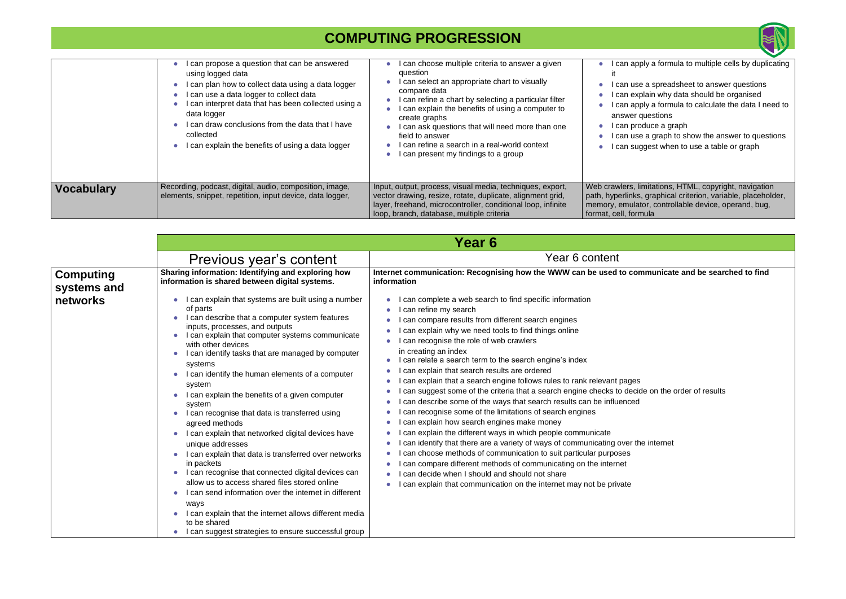|                   | can propose a question that can be answered<br>using logged data<br>I can plan how to collect data using a data logger<br>I can use a data logger to collect data<br>can interpret data that has been collected using a<br>data logger<br>I can draw conclusions from the data that I have<br>collected<br>I can explain the benefits of using a data logger | can choose multiple criteria to answer a given<br>question<br>can select an appropriate chart to visually<br>compare data<br>can refine a chart by selecting a particular filter<br>can explain the benefits of using a computer to<br>create graphs<br>can ask questions that will need more than one<br>field to answer<br>can refine a search in a real-world context<br>can present my findings to a group | can ap<br>can us<br>l can exr<br>⊧can ap <sub>l</sub><br>answer<br>l can prc<br>can us<br>can su |
|-------------------|--------------------------------------------------------------------------------------------------------------------------------------------------------------------------------------------------------------------------------------------------------------------------------------------------------------------------------------------------------------|----------------------------------------------------------------------------------------------------------------------------------------------------------------------------------------------------------------------------------------------------------------------------------------------------------------------------------------------------------------------------------------------------------------|--------------------------------------------------------------------------------------------------|
| <b>Vocabulary</b> | Recording, podcast, digital, audio, composition, image,<br>elements, snippet, repetition, input device, data logger,                                                                                                                                                                                                                                         | Input, output, process, visual media, techniques, export,<br>vector drawing, resize, rotate, duplicate, alignment grid,<br>layer, freehand, microcontroller, conditional loop, infinite<br>loop, branch, database, multiple criteria                                                                                                                                                                           | Web crawlers, li<br>path, hyperlinks<br>memory, emular<br>format, cell, forr                     |

|                                             | Year 6                                                                                                                                                                                                                                                                                                                                                                                                                                                                                                                                                   |                                                                                                                                                                                                                                                                                                                                                                                                                                                                                                                                                                                                                                                                                      |
|---------------------------------------------|----------------------------------------------------------------------------------------------------------------------------------------------------------------------------------------------------------------------------------------------------------------------------------------------------------------------------------------------------------------------------------------------------------------------------------------------------------------------------------------------------------------------------------------------------------|--------------------------------------------------------------------------------------------------------------------------------------------------------------------------------------------------------------------------------------------------------------------------------------------------------------------------------------------------------------------------------------------------------------------------------------------------------------------------------------------------------------------------------------------------------------------------------------------------------------------------------------------------------------------------------------|
|                                             |                                                                                                                                                                                                                                                                                                                                                                                                                                                                                                                                                          | Year 6 content                                                                                                                                                                                                                                                                                                                                                                                                                                                                                                                                                                                                                                                                       |
| <b>Computing</b><br>systems and<br>networks | Previous year's content<br>Sharing information: Identifying and exploring how<br>information is shared between digital systems.<br>I can explain that systems are built using a number<br>of parts<br>I can describe that a computer system features<br>inputs, processes, and outputs<br>I can explain that computer systems communicate<br>with other devices<br>I can identify tasks that are managed by computer<br>systems<br>I can identify the human elements of a computer<br>system<br>I can explain the benefits of a given computer<br>system | Internet communication: Recognising how the WWW can be used to cor<br>information<br>can complete a web search to find specific information<br>can refine my search<br>can compare results from different search engines<br>can explain why we need tools to find things online<br>can recognise the role of web crawlers<br>in creating an index<br>I can relate a search term to the search engine's index<br>can explain that search results are ordered<br>can explain that a search engine follows rules to rank relevant pages<br>can suggest some of the criteria that a search engine checks to decid<br>can describe some of the ways that search results can be influenced |
|                                             | I can recognise that data is transferred using<br>agreed methods<br>I can explain that networked digital devices have<br>unique addresses<br>I can explain that data is transferred over networks<br>in packets<br>I can recognise that connected digital devices can<br>allow us to access shared files stored online<br>I can send information over the internet in different<br>ways<br>I can explain that the internet allows different media<br>to be shared<br>I can suggest strategies to ensure successful group                                 | can recognise some of the limitations of search engines<br>can explain how search engines make money<br>can explain the different ways in which people communicate<br>can identify that there are a variety of ways of communicating over the<br>can choose methods of communication to suit particular purposes<br>can compare different methods of communicating on the internet<br>can decide when I should and should not share<br>can explain that communication on the internet may not be private                                                                                                                                                                             |



pply a formula to multiple cells by duplicating

- e a spreadsheet to answer questions
- plain why data should be organised
- ply a formula to calculate the data I need to questions
- oduce a graph
- e a graph to show the answer to questions ggest when to use a table or graph

limitations, HTML, copyright, navigation s, graphical criterion, variable, placeholder, ator, controllable device, operand, bug, mula

**Internate communicate and be searched to find** 

ecide on the order of results

the internet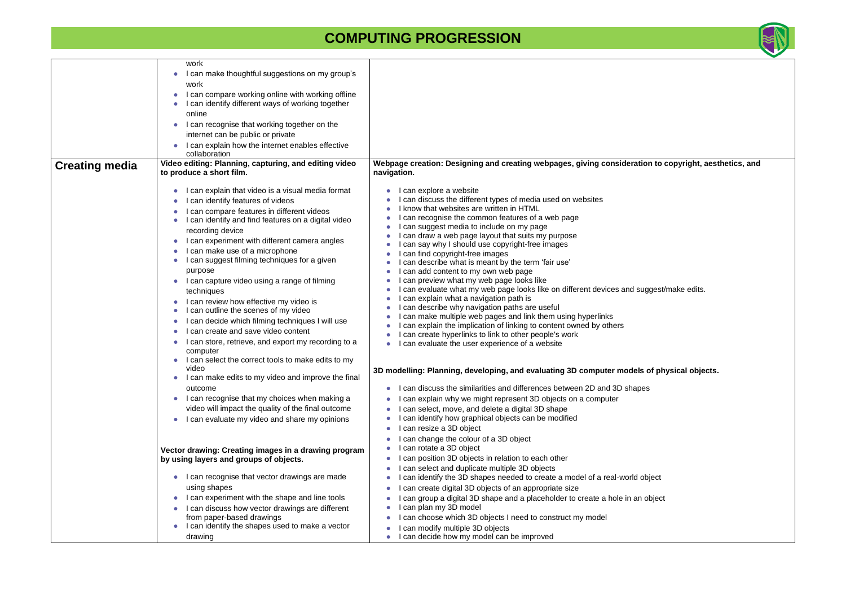|                       | work                                                                                               |                                                                                                                            |
|-----------------------|----------------------------------------------------------------------------------------------------|----------------------------------------------------------------------------------------------------------------------------|
|                       | I can make thoughtful suggestions on my group's                                                    |                                                                                                                            |
|                       | work                                                                                               |                                                                                                                            |
|                       | I can compare working online with working offline                                                  |                                                                                                                            |
|                       | I can identify different ways of working together                                                  |                                                                                                                            |
|                       | online                                                                                             |                                                                                                                            |
|                       | I can recognise that working together on the                                                       |                                                                                                                            |
|                       | internet can be public or private                                                                  |                                                                                                                            |
|                       | I can explain how the internet enables effective<br>collaboration                                  |                                                                                                                            |
| <b>Creating media</b> | Video editing: Planning, capturing, and editing video<br>to produce a short film.                  | Webpage creation: Designing and creating webpages, giving consideration to<br>navigation.                                  |
|                       | I can explain that video is a visual media format<br>$\bullet$                                     | I can explore a website                                                                                                    |
|                       | I can identify features of videos                                                                  | can discuss the different types of media used on websites                                                                  |
|                       | I can compare features in different videos                                                         | know that websites are written in HTML                                                                                     |
|                       | I can identify and find features on a digital video                                                | can recognise the common features of a web page                                                                            |
|                       | recording device                                                                                   | can suggest media to include on my page<br>can draw a web page layout that suits my purpose                                |
|                       | I can experiment with different camera angles<br>$\bullet$                                         | can say why I should use copyright-free images                                                                             |
|                       | I can make use of a microphone                                                                     | can find copyright-free images                                                                                             |
|                       | I can suggest filming techniques for a given                                                       | can describe what is meant by the term 'fair use'                                                                          |
|                       | purpose                                                                                            | can add content to my own web page                                                                                         |
|                       | I can capture video using a range of filming                                                       | can preview what my web page looks like                                                                                    |
|                       | techniques                                                                                         | can evaluate what my web page looks like on different devices and sugges<br>can explain what a navigation path is          |
|                       | I can review how effective my video is                                                             | can describe why navigation paths are useful                                                                               |
|                       | I can outline the scenes of my video                                                               | can make multiple web pages and link them using hyperlinks                                                                 |
|                       | can decide which filming techniques I will use<br>$\bullet$<br>I can create and save video content | can explain the implication of linking to content owned by others                                                          |
|                       | $\bullet$                                                                                          | can create hyperlinks to link to other people's work                                                                       |
|                       | I can store, retrieve, and export my recording to a<br>computer                                    | can evaluate the user experience of a website                                                                              |
|                       | I can select the correct tools to make edits to my<br>video                                        |                                                                                                                            |
|                       | I can make edits to my video and improve the final                                                 | 3D modelling: Planning, developing, and evaluating 3D computer models of p                                                 |
|                       | outcome                                                                                            | I can discuss the similarities and differences between 2D and 3D shapes                                                    |
|                       | I can recognise that my choices when making a<br>$\bullet$                                         | can explain why we might represent 3D objects on a computer                                                                |
|                       | video will impact the quality of the final outcome                                                 | can select, move, and delete a digital 3D shape                                                                            |
|                       | I can evaluate my video and share my opinions                                                      | can identify how graphical objects can be modified                                                                         |
|                       |                                                                                                    | can resize a 3D object                                                                                                     |
|                       |                                                                                                    | can change the colour of a 3D object                                                                                       |
|                       | Vector drawing: Creating images in a drawing program                                               | can rotate a 3D object                                                                                                     |
|                       | by using layers and groups of objects.                                                             | can position 3D objects in relation to each other<br>$\bullet$                                                             |
|                       | I can recognise that vector drawings are made                                                      | can select and duplicate multiple 3D objects<br>can identify the 3D shapes needed to create a model of a real-world object |
|                       | using shapes                                                                                       | can create digital 3D objects of an appropriate size                                                                       |
|                       | I can experiment with the shape and line tools                                                     | can group a digital 3D shape and a placeholder to create a hole in an objet                                                |
|                       | I can discuss how vector drawings are different                                                    | can plan my 3D model                                                                                                       |
|                       | from paper-based drawings                                                                          | can choose which 3D objects I need to construct my model                                                                   |
|                       | I can identify the shapes used to make a vector                                                    | can modify multiple 3D objects                                                                                             |
|                       | drawing                                                                                            | can decide how my model can be improved                                                                                    |



**<u>ation to copyright, aesthetics, and </u>** 

suggest/make edits.

**8** of physical objects.

an object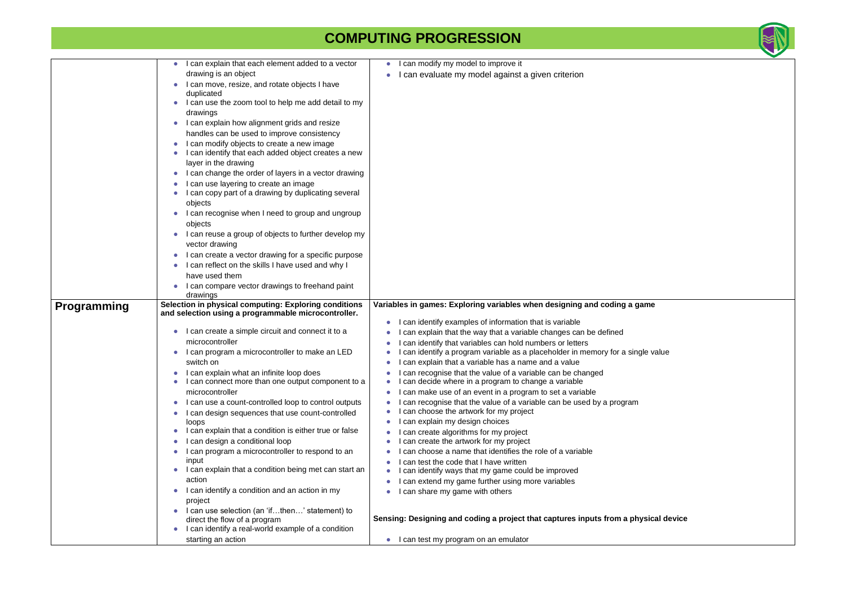|             | I can explain that each element added to a vector<br>$\bullet$                                               | I can modify my model to improve it<br>$\bullet$                                                                                     |
|-------------|--------------------------------------------------------------------------------------------------------------|--------------------------------------------------------------------------------------------------------------------------------------|
|             | drawing is an object                                                                                         | I can evaluate my model against a given criterion                                                                                    |
|             | I can move, resize, and rotate objects I have<br>duplicated                                                  |                                                                                                                                      |
|             | I can use the zoom tool to help me add detail to my                                                          |                                                                                                                                      |
|             | drawings                                                                                                     |                                                                                                                                      |
|             | I can explain how alignment grids and resize<br>$\bullet$<br>handles can be used to improve consistency      |                                                                                                                                      |
|             | I can modify objects to create a new image<br>I can identify that each added object creates a new            |                                                                                                                                      |
|             | layer in the drawing                                                                                         |                                                                                                                                      |
|             | I can change the order of layers in a vector drawing                                                         |                                                                                                                                      |
|             | I can use layering to create an image<br>I can copy part of a drawing by duplicating several                 |                                                                                                                                      |
|             | objects<br>I can recognise when I need to group and ungroup                                                  |                                                                                                                                      |
|             | objects<br>I can reuse a group of objects to further develop my                                              |                                                                                                                                      |
|             | vector drawing                                                                                               |                                                                                                                                      |
|             | I can create a vector drawing for a specific purpose<br>I can reflect on the skills I have used and why I    |                                                                                                                                      |
|             | have used them                                                                                               |                                                                                                                                      |
|             | I can compare vector drawings to freehand paint                                                              |                                                                                                                                      |
|             | drawings                                                                                                     |                                                                                                                                      |
| Programming | Selection in physical computing: Exploring conditions<br>and selection using a programmable microcontroller. | Variables in games: Exploring variables when designing and coding a game                                                             |
|             |                                                                                                              | I can identify examples of information that is variable                                                                              |
|             | I can create a simple circuit and connect it to a<br>$\bullet$                                               | can explain that the way that a variable changes can be defined                                                                      |
|             | microcontroller<br>I can program a microcontroller to make an LED                                            | can identify that variables can hold numbers or letters<br>can identify a program variable as a placeholder in memory for a single v |
|             | switch on                                                                                                    | can explain that a variable has a name and a value                                                                                   |
|             | I can explain what an infinite loop does<br>I can connect more than one output component to a                | I can recognise that the value of a variable can be changed<br>I can decide where in a program to change a variable<br>$\bullet$     |
|             | microcontroller                                                                                              | can make use of an event in a program to set a variable                                                                              |
|             | I can use a count-controlled loop to control outputs<br>I can design sequences that use count-controlled     | can recognise that the value of a variable can be used by a program<br>can choose the artwork for my project                         |
|             | loops                                                                                                        | I can explain my design choices                                                                                                      |
|             | I can explain that a condition is either true or false                                                       | I can create algorithms for my project                                                                                               |
|             | I can design a conditional loop                                                                              | can create the artwork for my project                                                                                                |
|             | I can program a microcontroller to respond to an                                                             | can choose a name that identifies the role of a variable                                                                             |
|             | input<br>I can explain that a condition being met can start an                                               | I can test the code that I have written                                                                                              |
|             | action                                                                                                       | I can identify ways that my game could be improved                                                                                   |
|             | I can identify a condition and an action in my<br>$\bullet$                                                  | can extend my game further using more variables<br>О                                                                                 |
|             | project                                                                                                      | I can share my game with others                                                                                                      |
|             | I can use selection (an 'ifthen' statement) to                                                               |                                                                                                                                      |
|             | direct the flow of a program                                                                                 | Sensing: Designing and coding a project that captures inputs from a physic                                                           |
|             | I can identify a real-world example of a condition<br>$\bullet$                                              |                                                                                                                                      |



ngle value

**Sensips: Designing**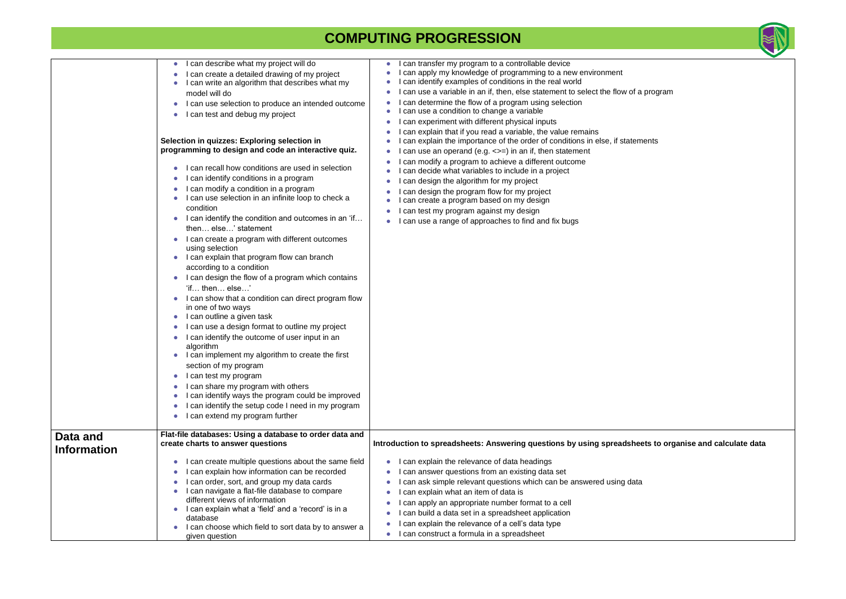|                                | can describe what my project will do<br>$\bullet$<br>I can create a detailed drawing of my project<br>$\bullet$<br>I can write an algorithm that describes what my<br>$\bullet$<br>model will do<br>I can use selection to produce an intended outcome<br>$\bullet$<br>I can test and debug my project<br>$\bullet$<br>Selection in quizzes: Exploring selection in<br>programming to design and code an interactive quiz.<br>I can recall how conditions are used in selection<br>$\bullet$<br>can identify conditions in a program<br>$\bullet$<br>I can modify a condition in a program<br>I can use selection in an infinite loop to check a<br>condition<br>I can identify the condition and outcomes in an 'if<br>$\bullet$<br>then else' statement<br>I can create a program with different outcomes<br>using selection<br>I can explain that program flow can branch<br>$\bullet$<br>according to a condition<br>I can design the flow of a program which contains<br>$\bullet$<br>'if then else'<br>I can show that a condition can direct program flow<br>in one of two ways<br>I can outline a given task<br>$\bullet$<br>I can use a design format to outline my project<br>$\bullet$<br>I can identify the outcome of user input in an<br>$\bullet$<br>algorithm<br>I can implement my algorithm to create the first<br>section of my program<br>$\bullet$<br>I can test my program<br>I can share my program with others<br>$\bullet$<br>can identify ways the program could be improved<br>$\bullet$<br>can identify the setup code I need in my program<br>$\bullet$<br>can extend my program further<br>$\bullet$ | can transfer my program to a controllable device<br>can apply my knowledge of programming to a new environment<br>can identify examples of conditions in the real world<br>can use a variable in an if, then, else statement to select the flow of a prog<br>can determine the flow of a program using selection<br>can use a condition to change a variable<br>can experiment with different physical inputs<br>can explain that if you read a variable, the value remains<br>can explain the importance of the order of conditions in else, if statements<br>can use an operand (e.g. $\le$ = ) in an if, then statement<br>can modify a program to achieve a different outcome<br>can decide what variables to include in a project<br>can design the algorithm for my project<br>can design the program flow for my project<br>can create a program based on my design<br>can test my program against my design<br>can use a range of approaches to find and fix bugs |
|--------------------------------|------------------------------------------------------------------------------------------------------------------------------------------------------------------------------------------------------------------------------------------------------------------------------------------------------------------------------------------------------------------------------------------------------------------------------------------------------------------------------------------------------------------------------------------------------------------------------------------------------------------------------------------------------------------------------------------------------------------------------------------------------------------------------------------------------------------------------------------------------------------------------------------------------------------------------------------------------------------------------------------------------------------------------------------------------------------------------------------------------------------------------------------------------------------------------------------------------------------------------------------------------------------------------------------------------------------------------------------------------------------------------------------------------------------------------------------------------------------------------------------------------------------------------------------------------------------------------------------------------------------------------------|---------------------------------------------------------------------------------------------------------------------------------------------------------------------------------------------------------------------------------------------------------------------------------------------------------------------------------------------------------------------------------------------------------------------------------------------------------------------------------------------------------------------------------------------------------------------------------------------------------------------------------------------------------------------------------------------------------------------------------------------------------------------------------------------------------------------------------------------------------------------------------------------------------------------------------------------------------------------------|
| Data and<br><b>Information</b> | Flat-file databases: Using a database to order data and<br>create charts to answer questions                                                                                                                                                                                                                                                                                                                                                                                                                                                                                                                                                                                                                                                                                                                                                                                                                                                                                                                                                                                                                                                                                                                                                                                                                                                                                                                                                                                                                                                                                                                                       | Introduction to spreadsheets: Answering questions by using spreadsheets to                                                                                                                                                                                                                                                                                                                                                                                                                                                                                                                                                                                                                                                                                                                                                                                                                                                                                                |
|                                | I can create multiple questions about the same field<br>$\bullet$<br>can explain how information can be recorded<br>$\bullet$<br>can order, sort, and group my data cards<br>$\bullet$<br>I can navigate a flat-file database to compare<br>$\bullet$<br>different views of information<br>I can explain what a 'field' and a 'record' is in a<br>$\bullet$<br>database<br>I can choose which field to sort data by to answer a<br>$\bullet$<br>given question                                                                                                                                                                                                                                                                                                                                                                                                                                                                                                                                                                                                                                                                                                                                                                                                                                                                                                                                                                                                                                                                                                                                                                     | can explain the relevance of data headings<br>can answer questions from an existing data set<br>can ask simple relevant questions which can be answered using data<br>can explain what an item of data is<br>can apply an appropriate number format to a cell<br>can build a data set in a spreadsheet application<br>can explain the relevance of a cell's data type<br>I can construct a formula in a spreadsheet                                                                                                                                                                                                                                                                                                                                                                                                                                                                                                                                                       |



a program

**Pets to organise and calculate data**